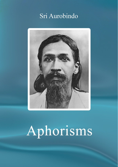## Sri Aurobindo



# Aphorisms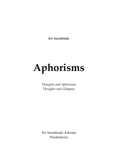*Sri Aurobindo*

# **Aphorisms**

*Thoughts and Aphorisms Thoughts and Glimpses*

Sri Aurobindo Ashram Pondicherry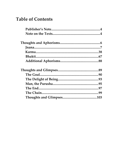#### **Table of Contents**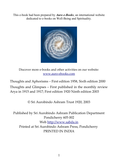This e-book had been prepared by *Auro e-Books*, an international website dedicated to e-books on Well-Being and Spirituality.



Discover more e-books and other activities on our website: [www.auro-ebooks.com](http://www.auro-ebooks.com/)

Thoughts and Aphorisms – First edition 1958, Sixth edition 2000 Thoughts and Glimpses – First published in the monthly review Arya in 1915 and 1917; First edition 1920 Ninth edition 2003

© Sri Aurobindo Ashram Trust 1920, 2003

Published by Sri Aurobindo Ashram Publication Department Pondicherry 605 002 Web [http://www.sabda.in](http://www.sabda.in/) Printed at Sri Aurobindo Ashram Press, Pondicherry PRINTED IN INDIA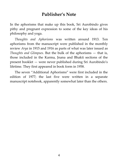#### <span id="page-4-0"></span>**Publisher's Note**

In the aphorisms that make up this book, Sri Aurobindo gives pithy and pregnant expression to some of the key ideas of his philosophy and yoga.

*Thoughts and Aphorisms* was written around 1913. Ten aphorisms from the manuscript were published in the monthly review *Arya* in 1915 and 1916 as parts of what was later issued as *Thoughts and Glimpses.* But the bulk of the aphorisms — that is, those included in the Karma, Jnana and Bhakti sections of the present booklet — were never published during Sri Aurobindo's lifetime. They first appeared in book form in 1958.

The seven "Additional Aphorisms" were first included in the edition of 1977; the last five were written in a separate manuscript notebook, apparently somewhat later than the others.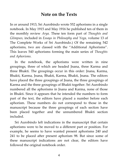#### <span id="page-5-0"></span>**Note on the Texts**

In or around 1913, Sri Aurobindo wrote 552 aphorisms in a single notebook. In May 1915 and May 1916 he published ten of them in the monthly review *Arya.* These ten form part of *Thoughts and Glimpses,* included in *Essays in Philosophy and Yoga,* volume 13 of The Complete Works of Sri Aurobindo.) Of the remaining 542 aphorisms, two are classed with the "Additional Aphorisms". This leaves 540 aphorisms forming the main series of *Thoughts and Aphorisms.*

In the notebook, the aphorisms were written in nine groupings, three of which are headed Jnana, three Karma and three Bhakti. The groupings occur in this order: Jnana, Karma, Bhakti, Karma, Jnana, Bhakti, Karma, Bhakti, Jnana. The editors have placed the three groupings of Jnana, the three groupings of Karma and the three groupings of Bhakti together. Sri Aurobindo numbered all the aphorisms in Jnana and Karma, none of those in Bhakti. Since it appears that he intended the numbers to form part of the text, the editors have placed a number before each aphorism. These numbers do not correspond to those in the manuscript because the three groupings of each section have been placed together and the unnumbered Bhakti section included.

Sri Aurobindo left indications in the manuscript that certain aphorisms were to be moved to a different part or position. For example, he seems to have wanted present aphorisms 240 and 241 to be placed after present aphorism 98. But since some of these manuscript indications are not clear, the editors have followed the original notebook order.

4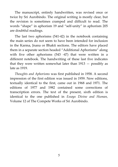The manuscript, entirely handwritten, was revised once or twice by Sri Aurobindo. The original writing is mostly clear, but the revision is sometimes cramped and difficult to read. The words "shape" in aphorism 19 and "self-unity" in aphorism 205 are doubtful readings.

The last two aphorisms (541-42) in the notebook containing the main series do not seem to have been intended for inclusion in the Karma, Jnana or Bhakti sections. The editors have placed them in a separate section headed "Additional Aphorisms" along with five other aphorisms (543 -47) that were written in a different notebook. The handwriting of these last five indicates that they were written somewhat later than 1913 — possibly as late as 1919.

*Thoughts and Aphorisms* was first published in 1958. A second impression of the first edition was issued in 1959. New editions, textually identical to the first, came out in 1968 and 1971. The editions of 1977 and 1982 contained some corrections of transcription errors. The text of the present, sixth edition is identical to the one published in *Essays Divine and Human,* Volume 12 of The Compete Works of Sri Aurobindo.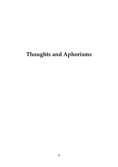### <span id="page-7-0"></span>**Thoughts and Aphorisms**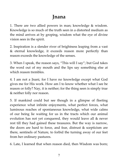#### <span id="page-8-0"></span>**Jnana**

1. There are two allied powers in man; knowledge & wisdom. Knowledge is so much of the truth seen in a distorted medium as the mind arrives at by groping, wisdom what the eye of divine vision sees in the spirit.

2. Inspiration is a slender river of brightness leaping from a vast & eternal knowledge, it exceeds reason more perfectly than reason exceeds the knowledge of the senses.

3. When I speak, the reason says, "This will I say"; but God takes the word out of my mouth and the lips say something else at which reason trembles.

4. I am not a Jnani, for I have no knowledge except what God gives me for His work. How am I to know whether what I see be reason or folly? Nay, it is neither; for the thing seen is simply true & neither folly nor reason.

5. If mankind could but see though in a glimpse of fleeting experience what infinite enjoyments, what perfect forces, what luminous reaches of spontaneous knowledge, what wide calms of our being lie waiting for us in the tracts which our animal evolution has not yet conquered, they would leave all & never rest till they had gained these treasures. But the way is narrow, the doors are hard to force, and fear, distrust & scepticism are there, sentinels of Nature, to forbid the turning away of our feet from her ordinary pastures.

6. Late, I learned that when reason died, then Wisdom was born;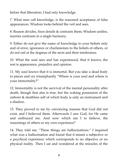before that liberation, I had only knowledge.

7. What men call knowledge, is the reasoned acceptance of false appearances. Wisdom looks behind the veil and sees.

8. Reason divides, fixes details & contrasts them; Wisdom unifies, marries contrasts in a single harmony.

9. Either do not give the name of knowledge to your beliefs only and of error, ignorance or charlatanism to the beliefs of others, or do not rail at the dogmas of the sects and their intolerance.

10. What the soul sees and has experienced, that it knows; the rest is appearance, prejudice and opinion.

11. My soul knows that it is immortal. But you take a dead body to pieces and cry triumphantly "Where is your soul and where is your immortality?"

12. Immortality is not the survival of the mental personality after death, though that also is true, but the waking possession of the unborn & deathless self of which body is only an instrument and a shadow.

13. They proved to me by convincing reasons that God did not exist, and I believed them. Afterwards I saw God, for He came and embraced me. And now which am I to believe, the reasonings of others or my own experience?

14. They told me, "These things are hallucinations." I inquired what was a hallucination and found that it meant a subjective or a psychical experience which corresponds to no objective or no physical reality. Then I sat and wondered at the miracles of the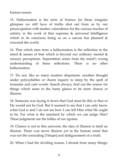human reason.

15. Hallucination is the term of Science for those irregular glimpses we still have of truths shut out from us by our preoccupation with matter; coincidence for the curious touches of artistry in the work of that supreme & universal Intelligence which in its conscious being as on a canvas has planned  $\&$ executed the world.

16. That which men term a hallucination is the reflection in the mind  $\&$  senses of that which is beyond our ordinary mental  $\&$ sensory perceptions. Superstition arises from the mind's wrong understanding of these reflections. There is no other hallucination.

17. Do not, like so many modern disputants, smother thought under polysyllables or charm inquiry to sleep by the spell of formulas and cant words. Search always; find out the reason for things which seem to the hasty glance to be mere chance or illusion.

18. Someone was laying it down that God must be this or that or He would not be God. But it seemed to me that I can only know what God is and I do not see how I can tell Him what He ought to be. For what is the standard by which we can judge Him? These judgments are the follies of our egoism.

19. Chance is not in this universe; the idea of illusion is itself an illusion. There was never illusion yet in the human mind that was not the concealing [?shape] and disfigurement of a truth.

20. When I had the dividing reason, I shrank from many things;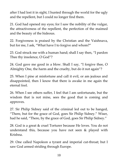after I had lost it in sight, I hunted through the world for the ugly and the repellent, but I could no longer find them.

21. God had opened my eyes; for I saw the nobility of the vulgar, the attractiveness of the repellent, the perfection of the maimed and the beauty of the hideous.

22. Forgiveness is praised by the Christian and the Vaishnava, but for me, I ask, "What have I to forgive and whom?"

23. God struck me with a human hand; shall I say then, "I pardon Thee thy insolence, O God"?

24. God gave me good in a blow. Shall I say, "I forgive thee, O Almighty One, the harm and the cruelty, but do it not again"?

25. When I pine at misfortune and call it evil, or am jealous and disappointed, then I know that there is awake in me again the eternal fool.

26. When I see others suffer, I feel that I am unfortunate, but the wisdom that is not mine, sees the good that is coming and approves.

27. Sir Philip Sidney said of the criminal led out to be hanged, "There, but for the grace of God, goes Sir Philip Sidney." Wiser, had he said, "There, by the grace of God, goes Sir Philip Sidney."

28. God is a great & cruel Torturer because He loves. You do not understand this, because you have not seen & played with Krishna.

29. One called Napoleon a tyrant and imperial cut-throat; but I saw God armed striding through Europe.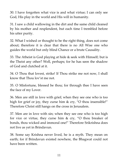30. I have forgotten what vice is and what virtue; I can only see God, His play in the world and His will in humanity.

31. I saw a child wallowing in the dirt and the same child cleaned by his mother and resplendent, but each time I trembled before his utter purity.

32. What I wished or thought to be the right thing, does not come about; therefore it is clear that there is no All Wise one who guides the world but only blind Chance or a brute Causality.

33. The Atheist is God playing at hide & seek with Himself; but is the Theist any other? Well, perhaps; for he has seen the shadow of God and clutched at it.

34. O Thou that lovest, strike! If Thou strike me not now, I shall know that Thou lov'st me not.

35. O Misfortune, blessed be thou; for through thee I have seen the face of my Lover.

36. Men are still in love with grief; when they see one who is too high for grief or joy, they curse him & cry, "O thou insensible!" Therefore Christ still hangs on the cross in Jerusalem.

37. Men are in love with sin; when they see one who is too high for vice or virtue, they curse him & cry, "O thou breaker of bonds, thou wicked and immoral one!" Therefore Srikrishna does not live as yet in Brindavun.

38. Some say Krishna never lived, he is a myth. They mean on earth; for if Brindavun existed nowhere, the Bhagwat could not have been written.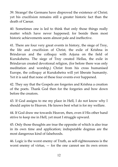39. Strange! the Germans have disproved the existence of Christ; yet his crucifixion remains still a greater historic fact than the death of Caesar.

40. Sometimes one is led to think that only those things really matter which have never happened; for beside them most historic achievements seem almost pale and ineffective.

41. There are four very great events in history, the siege of Troy, the life and crucifixion of Christ, the exile of Krishna in Brindavun and the colloquy with Arjuna on the field of Kurukshetra. The siege of Troy created Hellas, the exile in Brindavun created devotional religion, (for before there was only meditation and worship,) Christ from his cross humanised Europe, the colloquy at Kurukshetra will yet liberate humanity. Yet it is said that none of these four events ever happened.

42. They say that the Gospels are forgeries and Krishna a creation of the poets. Thank God then for the forgeries and bow down before the creators.

43. If God assigns to me my place in Hell, I do not know why I should aspire to Heaven. He knows best what is for my welfare.

44. If God draw me towards Heaven, then, even if His other hand strive to keep me in Hell, yet must I struggle upward.

45. Only those thoughts are true the opposite of which is also true in its own time and application; indisputable dogmas are the most dangerous kind of falsehoods.

46. Logic is the worst enemy of Truth, as self-righteousness is the worst enemy of virtue,  $-$  for the one cannot see its own errors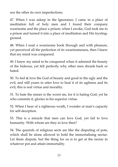nor the other its own imperfections.

47. When I was asleep in the Ignorance, I came to a place of meditation full of holy men and I found their company wearisome and the place a prison; when I awoke, God took me to a prison and turned it into a place of meditation and His trystingground.

48. When I read a wearisome book through and with pleasure, yet perceived all the perfection of its wearisomeness, then I knew that my mind was conquered.

49. I knew my mind to be conquered when it admired the beauty of the hideous, yet felt perfectly why other men shrank back or hated.

50. To feel & love the God of beauty and good in the ugly and the evil, and still yearn in utter love to heal it of its ugliness and its evil, this is real virtue and morality.

51. To hate the sinner is the worst sin, for it is hating God; yet he who commits it, glories in his superior virtue.

52. When I hear of a righteous wrath, I wonder at man's capacity for self-deception.

53. This is a miracle that men can love God, yet fail to love humanity. With whom are they in love then?

54. The quarrels of religious sects are like the disputing of pots, which shall be alone allowed to hold the immortalising nectar. Let them dispute, but the thing for us is to get at the nectar in whatever pot and attain immortality.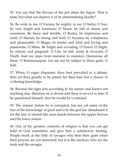55. You say that the flavour of the pot alters the liquor. That is taste; but what can deprive it of its immortalising faculty?

56. Be wide in me, O Varuna; be mighty in me, O Indra; O Sun, be very bright and luminous; O Moon, be full of charm and sweetness. Be fierce and terrible, O Rudra; be impetuous and swift, O Maruts; be strong and bold, O Aryama; be voluptuous and pleasurable, O Bhaga; be tender and kind and loving and passionate, O Mitra. Be bright and revealing, O Dawn; O Night, be solemn and pregnant. O Life, be full, ready & buoyant; O Death, lead my steps from mansion to mansion. Harmonise all these, O Brahmanaspati. Let me not be subject to these gods, O Kali.

57. When, O eager disputant, thou hast prevailed in a debate, then art thou greatly to be pitied; for thou hast lost a chance of widening knowledge.

58. Because the tiger acts according to his nature and knows not anything else, therefore he is divine and there is no evil in him. If he questioned himself, then he would be a criminal.

59. The animal, before he is corrupted, has not yet eaten of the tree of the knowledge of good and evil; the god has abandoned it for the tree of eternal life; man stands between the upper heaven and the lower nature.

60. One of the greatest comforts of religion is that you can get hold of God sometimes and give him a satisfactory beating. People mock at the folly of savages who beat their gods when their prayers are not answered; but it is the mockers who are the fools and the savages.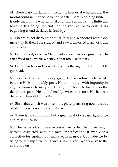61. There is no mortality. It is only the Immortal who can die; the mortal could neither be born nor perish. There is nothing finite. It is only the Infinite who can make for Himself limits; the finite can have no beginning nor end, for the very act of conceiving its beginning & end declares its infinity.

62. I heard a fool discoursing utter folly and wondered what God meant by it; then I considered and saw a distorted mask of truth and wisdom.

63. God is great, says the Mahomedan. Yes, He is so great that He can afford to be weak, whenever that too is necessary.

64. God often fails in His workings; it is the sign of His illimitable godhead.

65. Because God is invincibly great, He can afford to be weak; because He is immutably pure, He can indulge with impunity in sin; He knows eternally all delight, therefore He tastes also the delight of pain; He is inalienably wise, therefore He has not debarred Himself from folly.

66. Sin is that which was once in its place, persisting now it is out of place; there is no other sinfulness.

67. There is no sin in man, but a great deal of disease, ignorance and misapplication.

68. The sense of sin was necessary in order that man might become disgusted with his own imperfections. It was God's corrective for egoism. But man's egoism meets God's device by being very dully alive to its own sins and very keenly alive to the sins of others.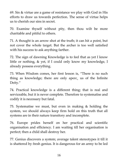69. Sin & virtue are a game of resistance we play with God in His efforts to draw us towards perfection. The sense of virtue helps us to cherish our sins in secret.

70. Examine thyself without pity, then thou wilt be more charitable and pitiful to others.

71. A thought is an arrow shot at the truth; it can hit a point, but not cover the whole target. But the archer is too well satisfied with his success to ask anything farther.

72. The sign of dawning Knowledge is to feel that as yet I know little or nothing, & yet, if I could only know my knowledge, I already possess everything.

73. When Wisdom comes, her first lesson is, "There is no such thing as knowledge; there are only aperc¸ us of the Infinite Deity."

74. Practical knowledge is a different thing; that is real and serviceable, but it is never complete. Therefore to systematise and codify it is necessary but fatal.

75. Systematise we must, but even in making & holding the system, we should always keep firm hold on this truth that all systems are in their nature transitory and incomplete.

76. Europe prides herself on her practical and scientific organisation and efficiency. I am waiting till her organisation is perfect; then a child shall destroy her.

77. Genius discovers a system; average talent stereotypes it till it is shattered by fresh genius. It is dangerous for an army to be led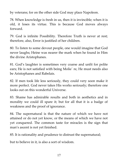by veterans; for on the other side God may place Napoleon.

78. When knowledge is fresh in us, then it is invincible; when it is old, it loses its virtue. This is because God moves always forward.

79. God is infinite Possibility. Therefore Truth is never at rest; therefore, also, Error is justified of her children.

80. To listen to some devout people, one would imagine that God never laughs; Heine was nearer the mark when he found in Him the divine Aristophanes.

81. God's laughter is sometimes very coarse and unfit for polite ears; He is not satisfied with being Molie` re, He must needs also be Aristophanes and Rabelais.

82. If men took life less seriously, they could very soon make it more perfect. God never takes His works seriously; therefore one looks out on this wonderful Universe.

83. Shame has admirable results and both in aesthetics and in morality we could ill spare it; but for all that it is a badge of weakness and the proof of ignorance.

84. The supernatural is that the nature of which we have not attained or do not yet know, or the means of which we have not yet conquered. The common taste for miracles is the sign that man's ascent is not yet finished.

85. It is rationality and prudence to distrust the supernatural;

but to believe in it, is also a sort of wisdom.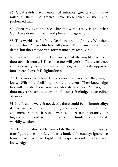86. Great saints have performed miracles; greater saints have railed at them; the greatest have both railed at them and performed them.

87. Open thy eyes and see what the world really is and what God; have done with vain and pleasant imaginations.

88. This world was built by Death that he might live. Wilt thou abolish death? Then life too will perish. Thou canst not abolish death, but thou mayst transform it into a greater living.

89. This world was built by Cruelty that she might love. Wilt thou abolish cruelty? Then love too will perish. Thou canst not abolish cruelty, but thou mayst transfigure it into its opposite, into a fierce Love & Delightfulness.

90. This world was built by Ignorance & Error that they might know. Wilt thou abolish ignorance and error? Then knowledge too will perish. Thou canst not abolish ignorance & error, but thou mayst transmute them into the utter & effulgent exceeding of reason.

91. If Life alone were & not death, there could be no immortality; if love were alone  $\&$  not cruelty, joy would be only a tepid  $\&$ ephemeral rapture; if reason were alone & not ignorance, our highest attainment would not exceed a limited rationality & worldly wisdom.

92. Death transformed becomes Life that is Immortality; Cruelty transfigured becomes Love that is intolerable ecstasy; Ignorance transmuted becomes Light that leaps beyond wisdom and knowledge.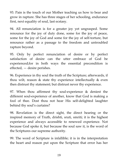93. Pain is the touch of our Mother teaching us how to bear and grow in rapture. She has three stages of her schooling, endurance first, next equality of soul, last ecstasy.

94. All renunciation is for a greater joy yet ungrasped. Some renounce for the joy of duty done, some for the joy of peace, some for the joy of God and some for the joy of self-torture, but renounce rather as a passage to the freedom and untroubled rapture beyond.

95. Only by perfect renunciation of desire or by perfect satisfaction of desire can the utter embrace of God be experienced;for in both ways the essential precondition is effected, — desire perishes.

96. Experience in thy soul the truth of the Scripture; afterwards, if thou wilt, reason & state thy experience intellectually & even then distrust thy statement; but distrust never thy experience.

97. When thou affirmest thy soul-experience & deniest the different soul-experience of another, know that God is making a fool of thee. Dost thou not hear His self-delighted laughter behind thy soul's curtains?

98. Revelation is the direct sight, the direct hearing or the inspired memory of Truth, drishti, sruti, smriti; it is the highest experience and always accessible to renewed experience. Not because God spoke it, but because the soul saw it, is the word of the Scriptures our supreme authority.

99. The word of Scripture is infallible; it is in the interpretation the heart and reason put upon the Scripture that error has her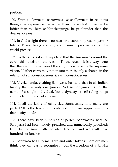portion.

100. Shun all lowness, narrowness & shallowness in religious thought & experience. Be wider than the widest horizons, be loftier than the highest Kanchenjunga, be profounder than the deepest oceans.

101. In God's sight there is no near or distant, no present, past or future. These things are only a convenient perspective for His world-picture.

102. To the senses it is always true that the sun moves round the earth; this is false to the reason. To the reason it is always true that the earth moves round the sun; this is false to the supreme vision. Neither earth moves nor sun; there is only a change in the relation of sun-consciousness & earth-consciousness.

103. Vivekananda, exalting Sannyasa, has said that in all Indian history there is only one Janaka. Not so, for Janaka is not the name of a single individual, but a dynasty of self-ruling kings and the triumph-cry of an ideal.

104. In all the lakhs of ochre-clad Sannyasins, how many are perfect? It is the few attainments and the many approximations that justify an ideal.

105. There have been hundreds of perfect Sannyasins, because Sannyasa had been widely preached and numerously practised; let it be the same with the ideal freedom and we shall have hundreds of Janakas.

106. Sannyasa has a formal garb and outer tokens; therefore men think they can easily recognise it; but the freedom of a Janaka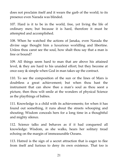does not proclaim itself and it wears the garb of the world; to its presence even Narada was blinded.

107. Hard is it to be in the world, free, yet living the life of ordinary men; but because it is hard, therefore it must be attempted and accomplished.

108. When he watched the actions of Janaka, even Narada the divine sage thought him a luxurious worldling and libertine. Unless thou canst see the soul, how shalt thou say that a man is free or bound?

109. All things seem hard to man that are above his attained level, & they are hard to his unaided effort; but they become at once easy & simple when God in man takes up the contract.

110. To see the composition of the sun or the lines of Mars is doubtless a great achievement; but when thou hast the instrument that can show thee a man's soul as thou seest a picture, then thou wilt smile at the wonders of physical Science as the playthings of babies.

111. Knowledge is a child with its achievements; for when it has found out something, it runs about the streets whooping and shouting; Wisdom conceals hers for a long time in a thoughtful and mighty silence.

112. Science talks and behaves as if it had conquered all knowledge: Wisdom, as she walks, hears her solitary tread echoing on the margin of immeasurable Oceans.

113. Hatred is the sign of a secret attraction that is eager to flee from itself and furious to deny its own existence. That too is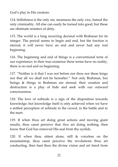God's play in His creature.

114. Selfishness is the only sin, meanness the only vice, hatred the only criminality. All else can easily be turned into good, but these are obstinate resisters of deity.

115. The world is a long recurring decimal with Brahman for its integer. The period seems to begin and end, but the fraction is eternal; it will never have an end and never had any real beginning.

116. The beginning and end of things is a conventional term of our experience; in their true existence these terms have no reality, there is no end and no beginning.

117. "Neither is it that I was not before nor thou nor these kings nor that all we shall not be hereafter." Not only Brahman, but beings & things in Brahman are eternal; their creation and destruction is a play of hide and seek with our outward consciousness.

118. The love of solitude is a sign of the disposition towards knowledge; but knowledge itself is only achieved when we have a settled perception of solitude in the crowd, in the battle and in the mart.

119. If when thou art doing great actions and moving giant results, thou canst perceive that *thou* art doing nothing, then know that God has removed His seal from thy eyelids.

120. If when thou sittest alone, still & voiceless on the mountaintop, thou canst perceive the revolutions thou art conducting, then hast thou the divine vision and art freed from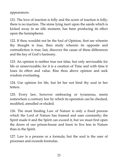appearances.

121. The love of inaction is folly and the scorn of inaction is folly; there is no inaction. The stone lying inert upon the sands which is kicked away in an idle moment, has been producing its effect upon the hemispheres.

122. If thou wouldst not be the fool of Opinion, first see wherein thy thought is true, then study wherein its opposite and contradiction is true; last, discover the cause of these differences and the key of God's harmony.

123. An opinion is neither true nor false, but only serviceable for life or unserviceable; for it is a creation of Time and with time it loses its effect and value. Rise thou above opinion and seek wisdom everlasting.

124. Use opinion for life, but let her not bind thy soul in her fetters.

125. Every law, however embracing or tyrannous, meets somewhere a contrary law by which its operation can be checked, modified, annulled or eluded.

126. The most binding Law of Nature is only a fixed process which the Lord of Nature has framed and uses constantly; the Spirit made it and the Spirit can exceed it, but we must first open the doors of our prison-house and learn to live less in Nature than in the Spirit.

127. Law is a process or a formula; but the soul is the user of processes and exceeds formulas.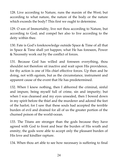128. Live according to Nature, runs the maxim of the West; but according to what nature, the nature of the body or the nature which exceeds the body? This first we ought to determine.

129. O son of Immortality, live not thou according to Nature, but according to God; and compel her also to live according to the deity within thee.

130. Fate is God's foreknowledge outside Space & Time of all that in Space & Time shall yet happen; what He has foreseen, Power & Necessity work out by the conflict of forces.

131. Because God has willed and foreseen everything, thou shouldst not therefore sit inactive and wait upon His providence, for thy action is one of His chief effective forces. Up then and be doing, not with egoism, but as the circumstance, instrument and apparent cause of the event that He has predetermined.

132. When I knew nothing, then I abhorred the criminal, sinful and impure, being myself full of crime, sin and impurity; but when I was cleansed and my eyes unsealed, then I bowed down in my spirit before the thief and the murderer and adored the feet of the harlot; for I saw that these souls had accepted the terrible burden of evil and drained for all of us the greater portion of the churned poison of the world-ocean.

133. The Titans are stronger than the gods because they have agreed with God to front and bear the burden of His wrath and enmity; the gods were able to accept only the pleasant burden of His love and kindlier rapture.

134. When thou art able to see how necessary is suffering to final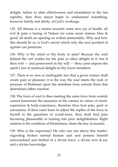delight, failure to utter effectiveness and retardation to the last rapidity, then thou mayst begin to understand something, however faintly and dimly, of God's workings.

135. All disease is a means towards some new joy of health, all evil & pain a tuning of Nature for some more intense bliss & good, all death an opening on widest immortality. Why and how this should be so, is God's secret which only the soul purified of egoism can penetrate.

136. Why is thy mind or thy body in pain? Because thy soul behind the veil wishes for the pain or takes delight in it; but if thou wilt  $-$  and perseverest in thy will  $-$  thou canst impose the spirit's law of unmixed delight on thy lower members.

137. There is no iron or ineffugable law that a given contact shall create pain or pleasure; it is the way the soul meets the rush or pressure of Brahman upon the members from outside them that determines either reaction.

138. The force of soul in thee meeting the same force from outside cannot harmonise the measures of the contact in values of mindexperience & body-experience, therefore thou hast pain, grief or uneasiness. If thou canst learn to adjust the replies of the force in thyself to the questions of world-force, thou shalt find pain becoming pleasurable or turning into pure delightfulness. Right relation is the condition of blissfulness, ritam the key of ananda.

139. Who is the superman? He who can rise above this matterregarding broken mental human unit and possess himself universalised and deified in a divine force, a divine love & joy and a divine knowledge.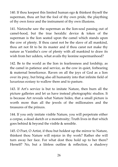140. If thou keepest this limited human ego & thinkest thyself the superman, thou art but the fool of thy own pride, the plaything of thy own force and the instrument of thy own illusions.

141. Nietzsche saw the superman as the lion-soul passing out of camel-hood, but the true heraldic device & token of the superman is the lion seated upon the camel which stands upon the cow of plenty. If thou canst not be the slave of all mankind, thou art not fit to be its master and if thou canst not make thy nature as Vasistha's cow of plenty with all mankind to draw its wish from her udders, what avails thy leonine supermanhood?

142. Be to the world as the lion in fearlessness and lordship, as the camel in patience and service, as the cow in quiet, forbearing & maternal beneficence. Raven on all the joys of God as a lion over its prey, but bring also all humanity into that infinite field of luxurious ecstasy to wallow there and to pasture.

143. If Art's service is but to imitate Nature, then burn all the picture galleries and let us have instead photographic studios. It is because Art reveals what Nature hides, that a small picture is worth more than all the jewels of the millionaires and the treasures of the princes.

144. If you only imitate visible Nature, you will perpetrate either a corpse, a dead sketch or a monstrosity; Truth lives in that which goes behind & beyond the visible & sensible.

145. O Poet, O Artist, if thou but holdest up the mirror to Nature, thinkest thou Nature will rejoice in thy work? Rather she will turn away her face. For what dost thou hold up to her there? Herself? No, but a lifeless outline & reflection, a shadowy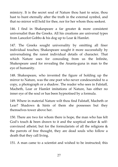mimicry. It is the secret soul of Nature thou hast to seize, thou hast to hunt eternally after the truth in the external symbol, and that no mirror will hold for thee, nor for her whom thou seekest.

146. I find in Shakespeare a far greater & more consistent universalist than the Greeks. All his creations are universal types from Lancelot Gobbo & his dog up to Lear & Hamlet.

147. The Greeks sought universality by omitting all finer individual touches; Shakespeare sought it more successfully by universalising the rarest individual details of character. That which Nature uses for concealing from us the Infinite, Shakespeare used for revealing the Ananta-guna in man to the eye of humanity.

148. Shakespeare, who invented the figure of holding up the mirror to Nature, was the one poet who never condescended to a copy, a photograph or a shadow. The reader who sees in Falstaff, Macbeth, Lear or Hamlet imitations of Nature, has either no inner eye of the soul or has been hypnotised by a formula.

149. Where in material Nature wilt thou find Falstaff, Macbeth or Lear? Shadows & hints of them she possesses but they themselves tower above her.

150. There are two for whom there is hope, the man who has felt God's touch & been drawn to it and the sceptical seeker & selfconvinced atheist; but for the formularists of all the religions & the parrots of free thought, they are dead souls who follow a death that they call living.

151. A man came to a scientist and wished to be instructed; this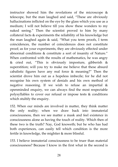instructor showed him the revelations of the microscope & telescope, but the man laughed and said, "These are obviously hallucinations inflicted on the eye by the glass which you use as a medium; I will not believe till you show these wonders to my naked seeing." Then the scientist proved to him by many collateral facts & experiments the reliability of his knowledge but the man laughed again & said, "What you term proofs, I term coincidences, the number of coincidences does not constitute proof; as for your experiments, they are obviously effected under abnormal conditions & constitute a sort of insanity of Nature." When confronted with the results of mathematics, he was angry & cried out, "This is obviously imposture, gibberish & superstition; will you try to make me believe that these absurd cabalistic figures have any real force & meaning?" Then the scientist drove him out as a hopeless imbecile; for he did not recognise his own system of denials and his own method of negative reasoning. If we wish to refuse an impartial  $\&$ openminded enquiry, we can always find the most respectable polysyllables to cover our refusal or impose tests & conditions which stultify the enquiry.

152. When our minds are involved in matter, they think matter the only reality; when we draw back into immaterial consciousness, then we see matter a mask and feel existence in consciousness alone as having the touch of reality. Which then of these two is the truth? Nay, God knoweth; but he who has had both experiences, can easily tell which condition is the more fertile in knowledge, the mightier & more blissful.

153. I believe immaterial consciousness to be truer than material consciousness? Because I know in the first what in the second is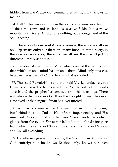hidden from me & also can command what the mind knows in matter.

154. Hell & Heaven exist only in the soul's consciousness. Ay, but so does the earth and its lands & seas & fields & deserts & mountains & rivers. All world is nothing but arrangement of the Soul's seeing.

155. There is only one soul & one existence; therefore we all see one objectivity only; but there are many knots of mind & ego in the one soul-existence, therefore we all see the one Object in different lights & shadows.

156. The idealist errs; it is not Mind which created the worlds, but that which created mind has created them. Mind only missees, because it sees partially & by details, what is created.

157. Thus said Ramakrishna and thus said Vivekananda. Yes, but let me know also the truths which the Avatar cast not forth into speech and the prophet has omitted from his teachings. There will always be more in God than the thought of man has ever conceived or the tongue of man has ever uttered.

158. What was Ramakrishna? God manifest in a human being; but behind there is God in His infinite impersonality and His universal Personality. And what was Vivekananda? A radiant glance from the eye of Shiva; but behind him is the divine gaze from which he came and Shiva himself and Brahma and Vishnu and OM all-exceeding.

159. He who recognises not Krishna, the God in man, knows not God entirely; he who knows Krishna only, knows not even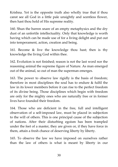Krishna. Yet is the opposite truth also wholly true that if thou canst see all God in a little pale unsightly and scentless flower, then hast thou hold of His supreme reality.

160. Shun the barren snare of an empty metaphysics and the dry dust of an unfertile intellectuality. Only that knowledge is worth having which can be made use of for a living delight and put out into temperament, action, creation and being.

161. Become & live the knowledge thou hast; then is thy knowledge the living God within thee.

162. Evolution is not finished; reason is not the last word nor the reasoning animal the supreme figure of Nature. As man emerged out of the animal, so out of man the superman emerges.

163. The power to observe law rigidly is the basis of freedom; therefore in most disciplines the soul has to endure & fulfil the law in its lower members before it can rise to the perfect freedom of its divine being. Those disciplines which begin with freedom are only for the mighty ones who are naturally free or in former lives have founded their freedom.

164. Those who are deficient in the free, full and intelligent observation of a self-imposed law, must be placed in subjection to the will of others. This is one principal cause of the subjection of nations. After their disturbing egoism has been trampled under the feet of a master, they are given or, if they have force in them, attain a fresh chance of deserving liberty by liberty.

165. To observe the law we have imposed on ourselves rather than the law of others is what is meant by liberty in our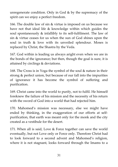unregenerate condition. Only in God & by the supremacy of the spirit can we enjoy a perfect freedom.

166. The double law of sin & virtue is imposed on us because we have not that ideal life & knowledge within which guides the soul spontaneously & infallibly to its self-fulfilment. The law of sin & virtue ceases for us when the sun of God shines upon the soul in truth & love with its unveiled splendour. Moses is replaced by Christ, the Shastra by the Veda.

167. God within is leading us always aright even when we are in the bonds of the ignorance; but then, though the goal is sure, it is attained by circlings & deviations.

168. The Cross is in Yoga the symbol of the soul & nature in their strong & perfect union, but because of our fall into the impurities of ignorance it has become the symbol of suffering and purification.

169. Christ came into the world to purify, not to fulfil. He himself foreknew the failure of his mission and the necessity of his return with the sword of God into a world that had rejected him.

170. Mahomed's mission was necessary, else we might have ended by thinking, in the exaggeration of our efforts at selfpurification, that earth was meant only for the monk and the city created as a vestibule for the desert.

171. When all is said, Love & Force together can save the world eventually, but not Love only or Force only. Therefore Christ had to look forward to a second advent and Mahomed's religion, where it is not stagnant, looks forward through the Imams to a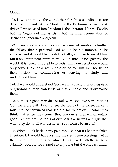Mahdi.

172. Law cannot save the world, therefore Moses' ordinances are dead for humanity & the Shastra of the Brahmins is corrupt & dying. Law released into Freedom is the liberator. Not the Pandit, but the Yogin; not monasticism, but the inner renunciation of desire and ignorance & egoism.

173. Even Vivekananda once in the stress of emotion admitted the fallacy that a personal God would be too immoral to be suffered and it would be the duty of all good men to resist Him. But if an omnipotent supra-moral Will & Intelligence governs the world, it is surely impossible to resist Him; our resistance would only serve His ends & really be dictated by Him. Is it not better then, instead of condemning or denying, to study and understand Him?

174. If we would understand God, we must renounce our egoistic & ignorant human standards or else ennoble and universalise them.

175. Because a good man dies or fails & the evil live & triumph, is God therefore evil? I do not see the logic of the consequence. I must first be convinced that death & failure are evil; I sometimes think that when they come, they are our supreme momentary good. But we are the fools of our hearts & nerves & argue that what they do not like or desire, must of course be an evil!

176. When I look back on my past life, I see that if I had not failed & suffered, I would have lost my life's supreme blessings; yet at the time of the suffering & failure, I was vexed with the sense of calamity. Because we cannot see anything but the one fact under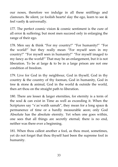our noses, therefore we indulge in all these snifflings and clamours. Be silent, ye foolish hearts! slay the ego, learn to see  $\&$ feel vastly & universally.

177. The perfect cosmic vision & cosmic sentiment is the cure of all error & suffering; but most men succeed only in enlarging the range of their ego.

178. Men say & think "For my country!" "For humanity!" "For the world!" but they really mean "For myself seen in my country!" "For myself seen in humanity!" "For myself imaged to my fancy as the world!" That may be an enlargement, but it is not liberation. To be at large & to be in a large prison are not one condition of freedom.

179. Live for God in thy neighbour, God in thyself, God in thy country & the country of thy foeman, God in humanity, God in tree & stone & animal, God in the world & outside the world, then art thou on the straight path to liberation.

180. There are lesser & larger eternities, for eternity is a term of the soul & can exist in Time as well as exceeding it. When the Scriptures say "s'as' watih samah", they mean for a long space  $\&$ permanence of time or a hardly measurable aeon; only God Absolute has the absolute eternity. Yet when one goes within, one sees that all things are secretly eternal; there is no end, neither was there ever a beginning.

181. When thou callest another a fool, as thou must, sometimes, yet do not forget that thou thyself hast been the supreme fool in humanity.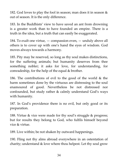182. God loves to play the fool in season; man does it in season & out of season. It is the only difference.

183. In the Buddhists' view to have saved an ant from drowning is a greater work than to have founded an empire. There is a truth in the idea, but a truth that can easily be exaggerated.

184. To exalt one virtue, — compassion even, — unduly above all others is to cover up with one's hand the eyes of wisdom. God moves always towards a harmony.

185. Pity may be reserved, so long as thy soul makes distinctions, for the suffering animals; but humanity deserves from thee something nobler; it asks for love, for understanding, for comradeship, for the help of the equal & brother.

186. The contributions of evil to the good of the world & the harm sometimes done by the virtuous are distressing to the soul enamoured of good. Nevertheless be not distressed nor confounded, but study rather & calmly understand God's ways with humanity.

187. In God's providence there is no evil, but only good or its preparation.

188. Virtue & vice were made for thy soul's struggle & progress; but for results they belong to God, who fulfils himself beyond vice & virtue.

189. Live within; be not shaken by outward happenings.

190. Fling not thy alms abroad everywhere in an ostentation of charity; understand & love where thou helpest. Let thy soul grow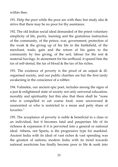within thee.

191. Help the poor while the poor are with thee; but study also  $\&$ strive that there may be no poor for thy assistance.

192. The old Indian social ideal demanded of the priest voluntary simplicity of life, purity, learning and the gratuitous instruction of the community, of the prince, war, government, protection of the weak & the giving up of his life in the battlefield, of the merchant, trade, gain and the return of his gains to the community by free giving, of the serf, labour for the rest  $\&$ material havings. In atonement for his serfhood, it spared him the tax of self-denial, the tax of blood & the tax of his riches.

193. The existence of poverty is the proof of an unjust & illorganised society, and our public charities are but the first tardy awakening in the conscience of a robber.

194. Valmekie, our ancient epic poet, includes among the signs of a just & enlightened state of society not only universal education, morality and spirituality but this also that there shall be "none who is compelled to eat coarse food, none uncrowned & unanointed or who is restricted to a mean and petty share of luxuries."

195. The acceptance of poverty is noble & beneficial in a class or an individual, but it becomes fatal and pauperises life of its richness & expansion if it is perverted into a general or national ideal. Athens, not Sparta, is the progressive type for mankind. Ancient India with its ideal of vast riches & vast spending was the greatest of nations; modern India with its trend towards national asceticism has finally become poor in life  $\&$  sunk into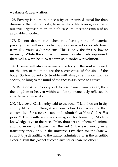weakness & degradation.

196. Poverty is no more a necessity of organised social life than disease of the natural body; false habits of life & an ignorance of our true organisation are in both cases the peccant causes of an avoidable disorder.

197. Do not dream that when thou hast got rid of material poverty, men will even so be happy or satisfied or society freed from ills, troubles & problems. This is only the first & lowest necessity. While the soul within remains defectively organised, there will always be outward unrest, disorder & revolution.

198. Disease will always return to the body if the soul is flawed; for the sins of the mind are the secret cause of the sins of the body. So too poverty & trouble will always return on man in society, so long as the mind of the race is subjected to egoism.

199. Religion & philosophy seek to rescue man from his ego; then the kingdom of heaven within will be spontaneously reflected in an external divine city.

200. Mediaeval Christianity said to the race, "Man, thou art in thy earthly life an evil thing & a worm before God; renounce then egoism, live for a future state and submit thyself to God & His priest." The results were not over-good for humanity. Modern knowledge says to the race, "Man, thou art an ephemeral animal and no more to Nature than the ant  $\&$  the earthworm,  $-$  a transitory speck only in the universe. Live then for the State  $\&$ submit thyself antlike to the trained administrator & the scientific expert." Will this gospel succeed any better than the other?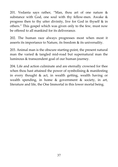201. Vedanta says rather, "Man, thou art of one nature  $\&$ substance with God, one soul with thy fellow-men. Awake & progress then to thy utter divinity, live for God in thyself & in others." This gospel which was given only to the few, must now be offered to all mankind for its deliverance.

202. The human race always progresses most when most it asserts its importance to Nature, its freedom & its universality.

203. Animal man is the obscure starting-point, the present natural man the varied & tangled mid-road but supernatural man the luminous & transcendent goal of our human journey.

204. Life and action culminate and are eternally crowned for thee when thou hast attained the power of symbolising & manifesting in every thought & act, in wealth getting, wealth having or wealth spending, in home & government & society, in art, literature and life, the One Immortal in this lower mortal being.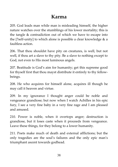## **Karma**

205. God leads man while man is misleading himself, the higher nature watches over the stumblings of his lower mortality; this is the tangle & contradiction out of which we have to escape into the [?self-unity] to which alone is possible a clear knowledge & a faultless action.

206. That thou shouldst have pity on creatures, is well, but not well, if thou art a slave to thy pity. Be a slave to nothing except to God, not even to His most luminous angels.

207. Beatitude is God's aim for humanity; get this supreme good for thyself first that thou mayst distribute it entirely to thy fellowbeings.

208. He who acquires for himself alone, acquires ill though he may call it heaven and virtue.

209. In my ignorance I thought anger could be noble and vengeance grandiose; but now when I watch Achilles in his epic fury, I see a very fine baby in a very fine rage and I am pleased and amused.

210. Power is noble, when it overtops anger; destruction is grandiose, but it loses caste when it proceeds from vengeance. Leave these things, for they belong to a lower humanity.

211. Poets make much of death and external afflictions; but the only tragedies are the soul's failures and the only epic man's triumphant ascent towards godhead.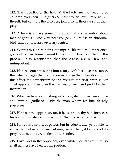212. The tragedies of the heart & the body are the weeping of children over their little griefs & their broken toys. Smile within thyself, but comfort the children; join also, if thou canst, in their play.

213. "There is always something abnormal and eccentric about men of genius." And why not? For genius itself is an abnormal birth and out of man's ordinary centre.

214. Genius is Nature's first attempt to liberate the imprisoned god out of her human mould; the mould has to suffer in the process. It is astonishing that the cracks are so few and unimportant.

215. Nature sometimes gets into a fury with her own resistance, then she damages the brain in order to free the inspiration; for in this effort the equilibrium of the average material brain is her chief opponent. Pass over the madness of such and profit by their inspiration.

216. Who can bear Kali rushing into the system in her fierce force and burning godhead? Only the man whom Krishna already possesses.

217. Hate not the oppressor, for, if he is strong, thy hate increases his force of resistance; if he is weak, thy hate was needless.

218. Hatred is a sword of power, but its edge is always double. It is like the Kritya of the ancient magicians which, if baulked of its prey, returned in fury to devour its sender.

219. Love God in thy opponent, even while thou strikest him; so shall neither have hell for his portion.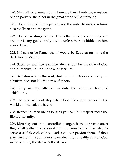220. Men talk of enemies, but where are they? I only see wrestlers of one party or the other in the great arena of the universe.

221. The saint and the angel are not the only divinities; admire also the Titan and the giant.

222. The old writings call the Titans the elder gods. So they still are; nor is any god entirely divine unless there is hidden in him also a Titan.

223. If I cannot be Rama, then I would be Ravana; for he is the dark side of Vishnu.

224. Sacrifice, sacrifice, sacrifice always, but for the sake of God and humanity, not for the sake of sacrifice.

225. Selfishness kills the soul; destroy it. But take care that your altruism does not kill the souls of others.

226. Very usually, altruism is only the sublimest form of selfishness.

227. He who will not slay when God bids him, works in the world an incalculable havoc.

228. Respect human life as long as you can; but respect more the life of humanity.

229. Men slay out of uncontrollable anger, hatred or vengeance; they shall suffer the rebound now or hereafter; or they slay to serve a selfish end, coldly; God shall not pardon them. If thou slay, first let thy soul have known death for a reality & seen God in the smitten, the stroke & the striker.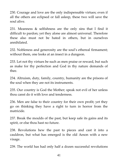230. Courage and love are the only indispensable virtues; even if all the others are eclipsed or fall asleep, these two will save the soul alive.

231. Meanness & selfishness are the only sins that I find it difficult to pardon; yet they alone are almost universal. Therefore these also must not be hated in others, but in ourselves annihilated.

232. Nobleness and generosity are the soul's ethereal firmament; without them, one looks at an insect in a dungeon.

233. Let not thy virtues be such as men praise or reward, but such as make for thy perfection and God in thy nature demands of thee.

234. Altruism, duty, family, country, humanity are the prisons of the soul when they are not its instruments.

235. Our country is God the Mother; speak not evil of her unless thou canst do it with love and tenderness.

236. Men are false to their country for their own profit; yet they go on thinking they have a right to turn in horror from the matricide.

237. Break the moulds of the past, but keep safe its gains and its spirit, or else thou hast no future.

238. Revolutions hew the past to pieces and cast it into a cauldron, but what has emerged is the old Aeson with a new visage.

239. The world has had only half a dozen successful revolutions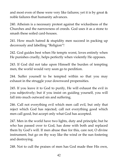and most even of these were very like failures; yet it is by great  $\&$ noble failures that humanity advances.

240. Atheism is a necessary protest against the wickedness of the Churches and the narrowness of creeds. God uses it as a stone to smash these soiled card-houses.

241. How much hatred & stupidity men succeed in packing up decorously and labelling "Religion"!

242. God guides best when He tempts worst, loves entirely when He punishes cruelly, helps perfectly when violently He opposes.

243. If God did not take upon Himself the burden of tempting men, the world would very soon go to perdition.

244. Suffer yourself to be tempted within so that you may exhaust in the struggle your downward propensities.

245. If you leave it to God to purify, He will exhaust the evil in you subjectively; but if you insist on guiding yourself, you will fall into much outward sin and suffering.

246. Call not everything evil which men call evil, but only that reject which God has rejected; call not everything good which men call good, but accept only what God has accepted.

247. Men in the world have two lights, duty and principle; but he who has passed over to God, has done with both and replaced them by God's will. If men abuse thee for this, care not, O divine instrument, but go on thy way like the wind or the sun fostering and destroying.

248. Not to cull the praises of men has God made thee His own,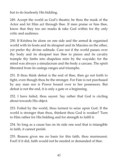but to do fearlessly His bidding.

249. Accept the world as God's theatre; be thou the mask of the Actor and let Him act through thee. If men praise or hiss thee, know that they too are masks & take God within for thy only critic and audience.

250. If Krishna be alone on one side and the armed & organised world with its hosts and its shrapnel and its Maxims on the other, yet prefer thy divine solitude. Care not if the world passes over thy body and its shrapnel tear thee to pieces and its cavalry trample thy limbs into shapeless mire by the wayside; for the mind was always a simulacrum and the body a carcass. The spirit liberated from its casings ranges and triumphs.

251. If thou think defeat is the end of thee, then go not forth to fight, even though thou be the stronger. For Fate is not purchased by any man nor is Power bound over to her possessors. But defeat is not the end, it is only a gate or a beginning.

252. I have failed, thou sayest. Say rather that God is circling about towards His object.

253. Foiled by the world, thou turnest to seize upon God. If the world is stronger than thou, thinkest thou God is weaker? Turn to Him rather for His bidding and for strength to fulfil it.

254. So long as a cause has on its side one soul that is intangible in faith, it cannot perish.

255. Reason gives me no basis for this faith, thou murmurest. Fool! if it did, faith would not be needed or demanded of thee.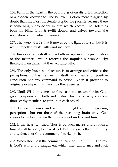256. Faith in the heart is the obscure & often distorted reflection of a hidden knowledge. The believer is often more plagued by doubt than the most inveterate sceptic. He persists because there is something subconscient in him which knows. That tolerates both his blind faith & twilit doubts and drives towards the revelation of that which it knows.

257. The world thinks that it moves by the light of reason but it is really impelled by its faiths and instincts.

258. Reason adapts itself to the faith or argues out a justification of the instincts, but it receives the impulse subconsciously; therefore men think that they act rationally.

259. The only business of reason is to arrange and criticise the perceptions. It has neither in itself any means of positive conclusion nor any command to action. When it pretends to originate or impel, it is masking other agencies.

260. Until Wisdom comes to thee, use the reason for its Godgiven purposes and faith and instinct for theirs. Why shouldst thou set thy members to war upon each other?

261. Perceive always and act in the light of thy increasing perceptions, but not those of the reasoning brain only. God speaks to the heart when the brain cannot understand him.

262. If thy heart tell thee, Thus & by such means and at such a time it will happen, believe it not. But if it gives thee the purity and wideness of God's command, hearken to it.

263. When thou hast the command, care only to fulfil it. The rest is God's will and arrangement which men call chance and luck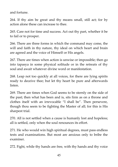and fortune.

264. If thy aim be great and thy means small, still act; for by action alone these can increase to thee.

265. Care not for time and success. Act out thy part, whether it be to fail or to prosper.

266. There are three forms in which the command may come, the will and faith in thy nature, thy ideal on which heart and brain are agreed and the voice of Himself or His angels.

267. There are times when action is unwise or impossible; then go into tapasya in some physical solitude or in the retreats of thy soul and await whatever divine word or manifestation.

268. Leap not too quickly at all voices, for there are lying spirits ready to deceive thee; but let thy heart be pure and afterwards listen.

269. There are times when God seems to be sternly on the side of the past; then what has been and is, sits firm as on a throne and clothes itself with an irrevocable "I shall be". Then persevere, though thou seem to be fighting the Master of all; for this is His sharpest trial.

270. All is not settled when a cause is humanly lost and hopeless; all is settled, only when the soul renounces its effort.

271. He who would win high spiritual degrees, must pass endless tests and examinations. But most are anxious only to bribe the examiner.

272. Fight, while thy hands are free, with thy hands and thy voice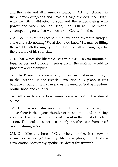and thy brain and all manner of weapons. Art thou chained in the enemy's dungeons and have his gags silenced thee? Fight with thy silent all-besieging soul and thy wide-ranging willpower and when thou art dead, fight still with the worldencompassing force that went out from God within thee.

273. Thou thinkest the ascetic in his cave or on his mountaintop a stone and a do-nothing? What dost thou know? He may be filling the world with the mighty currents of his will & changing it by the pressure of his soul-state.

274. That which the liberated sees in his soul on its mountaintops, heroes and prophets spring up in the material world to proclaim and accomplish.

275. The Theosophists are wrong in their circumstances but right in the essential. If the French Revolution took place, it was because a soul on the Indian snows dreamed of God as freedom, brotherhood and equality.

276. All speech and action comes prepared out of the eternal Silence.

277. There is no disturbance in the depths of the Ocean, but above there is the joyous thunder of its shouting and its racing shoreward; so is it with the liberated soul in the midst of violent action. The soul does not act; it only breathes out from itself overwhelming action.

278. O soldier and hero of God, where for thee is sorrow or shame or suffering? For thy life is a glory, thy deeds a consecration, victory thy apotheosis, defeat thy triumph.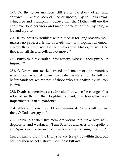279. Do thy lower members still suffer the shock of sin and sorrow? But above, seen of thee or unseen, thy soul sits royal, calm, free and triumphant. Believe that the Mother will ere the end have done her work and made the very earth of thy being a joy and a purity.

280. If thy heart is troubled within thee, if for long seasons thou makest no progress, if thy strength faint and repine, remember always the eternal word of our Lover and Master, "I will free thee from all sin and evil; do not grieve."

281. Purity is in thy soul; but for actions, where is their purity or impurity?

282. O Death, our masked friend and maker of opportunities, when thou wouldst open the gate, hesitate not to tell us beforehand; for we are not of those who are shaken by its iron jarring.

283. Death is sometimes a rude valet; but when he changes this robe of earth for that brighter raiment, his horseplay and impertinences can be pardoned.

284. Who shall slay thee, O soul immortal? Who shall torture thee, O God ever-joyous?

285. Think this when thy members would fain make love with depression and weakness, "I am Bacchus and Ares and Apollo; I am Agni pure and invincible; I am Surya ever burning mightily."

286. Shrink not from the Dionysian cry & rapture within thee, but see that thou be not a straw upon those billows.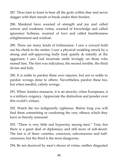287. Thou hast to learn to bear all the gods within thee and never stagger with their inrush or break under their burden.

288. Mankind have wearied of strength and joy and called sorrow and weakness virtue, wearied of knowledge and called ignorance holiness, wearied of love and called heartlessness enlightenment and wisdom.

289. There are many kinds of forbearance. I saw a coward hold out his cheek to the smiter; I saw a physical weakling struck by a strong and self-approving bully look quietly & intently at the aggressor; I saw God incarnate smile lovingly on those who stoned him. The first was ridiculous, the second terrible, the third divine and holy.

290. It is noble to pardon thine own injurers, but not so noble to pardon wrongs done to others. Nevertheless pardon these too, but when needful, calmly avenge.

291. When Asiatics massacre, it is an atrocity; when Europeans, it is a military exigency. Appreciate the distinction and ponder over this world's virtues.

292. Watch the too indignantly righteous. Before long you will find them committing or condoning the very offence which they have so fiercely censured.

293. "There is very little real hypocrisy among men." True, but there is a great deal of diplomacy and still more of self-deceit. The last is of three varieties, conscious, subconscious and halfconscious; but the third is the most dangerous.

294. Be not deceived by men's shows of virtue, neither disgusted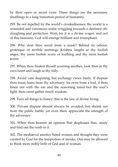by their open or secret vices. These things are the necessary shufflings in a long transition-period of humanity.

295. Be not repelled by the world's crookednesses; the world is a wounded and venomous snake wriggling towards a destined offsloughing and perfection. Wait; for it is a divine wager, and out of this baseness, God will emerge brilliant and triumphant.

296. Why dost thou recoil from a mask? Behind its odious, grotesque or terrible seemings Krishna laughs at thy foolish anger, thy more foolish scorn or loathing and thy most foolish terror.

297. When thou findest thyself scorning another, look then at thy own heart and laugh at thy folly.

298. Avoid vain disputing; but exchange views freely. If dispute thou must, learn from thy adversary; for even from a fool, if thou listen not with the ear and the reasoning mind but the soul's light, thou canst gather much wisdom.

299. Turn all things to honey; this is the law of divine living.

300. Private dispute should always be avoided; but shrink not from the public battle; yet even there appreciate the strength of thy adversary.

301. When thou hearest an opinion that displeases thee, study and find out the truth in it.

302. The mediaeval ascetics hated women and thought they were created by God for the temptation of monks. One may be allowed to think more nobly both of God and of woman.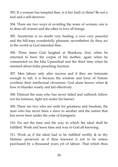303. If a woman has tempted thee, is it her fault or thine? Be not a fool and a self-deceiver.

304. There are two ways of avoiding the snare of woman; one is to shun all women and the other to love all beings.

305. Asceticism is no doubt very healing, a cave very peaceful and the hill-tops wonderfully pleasant; nevertheless do thou act in the world as God intended thee.

306. Three times God laughed at Shankara, first, when he returned to burn the corpse of his mother, again when he commented on the Isha Upanishad and the third time when he stormed about India preaching inaction.

307. Men labour only after success and if they are fortunate enough to fail, it is because the wisdom and force of Nature overbear their intellectual cleverness. God alone knows when & how to blunder wisely and fail effectively.

308. Distrust the man who has never failed and suffered; follow not his fortunes, fight not under his banner.

309. There are two who are unfit for greatness and freedom, the man who has never been a slave to another and the nation that has never been under the yoke of foreigners.

310. Fix not the time and the way in which the ideal shall be fulfilled. Work and leave time and way to God all-knowing.

311. Work as if the ideal had to be fulfilled swiftly & in thy lifetime; persevere as if thou knewest it not to be unless purchased by a thousand years yet of labour. That which thou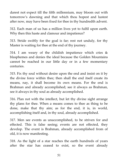darest not expect till the fifth millennium, may bloom out with tomorrow's dawning and that which thou hopest and lustest after now, may have been fixed for thee in thy hundredth advent.

312. Each man of us has a million lives yet to fulfil upon earth. Why then this haste and clamour and impatience?

313. Stride swiftly for the goal is far; rest not unduly, for thy Master is waiting for thee at the end of thy journey.

314. I am weary of the childish impatience which cries  $\&$ blasphemes and denies the ideal because the Golden Mountains cannot be reached in our little day or in a few momentary centuries.

315. Fix thy soul without desire upon the end and insist on it by the divine force within thee; then shall the end itself create its means, nay, it shall become its own means. For the end is Brahman and already accomplished; see it always as Brahman, see it always in thy soul as already accomplished.

316. Plan not with the intellect, but let thy divine sight arrange thy plans for thee. When a means comes to thee as thing to be done, make that thy aim; as for the end, it is, in world, accomplishing itself and, in thy soul, already accomplished.

317. Men see events as unaccomplished, to be striven for and effected. This is false seeing; events are not effected, they develop. The event is Brahman, already accomplished from of old, it is now manifesting.

318. As the light of a star reaches the earth hundreds of years after the star has ceased to exist, so the event already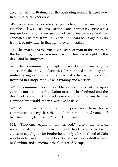accomplished in Brahman at the beginning manifests itself now in our material experience.

319. Governments, societies, kings, police, judges, institutions, churches, laws, customs, armies are temporary necessities imposed on us for a few groups of centuries because God has concealed His face from us. When it appears to us again in its truth & beauty, then in that light they will vanish.

320. The anarchic is the true divine state of man in the end as in the beginning; but in between it would lead us straight to the devil and his kingdom.

321. The communistic principle of society is intrinsically as superior to the individualistic as is brotherhood to jealousy and mutual slaughter; but all the practical schemes of Socialism invented in Europe are a yoke, a tyranny and a prison.

322. If communism ever reestablishes itself successfully upon earth, it must be on a foundation of soul's brotherhood and the death of egoism. A forced association and a mechanical comradeship would end in a worldwide fiasco.

323. Vedanta realised is the only practicable basis for a communistic society. It is the kingdom of the saints dreamed of by Christianity, Islam and Puranic Hinduism.

324. "Freedom, equality, brotherhood," cried the French revolutionists, but in truth freedom only has been practised with a dose of equality; as for brotherhood, only a brotherhood of Cain was founded — and of Barabbas. Sometimes it calls itself a Trust or Combine and sometimes the Concert of Europe.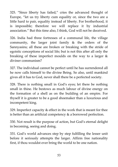325. "Since liberty has failed," cries the advanced thought of Europe, "let us try liberty cum equality or, since the two are a little hard to pair, equality instead of liberty. For brotherhood, it is impossible; therefore we will replace it by industrial association." But this time also, I think, God will not be deceived.

326. India had three fortresses of a communal life, the village community, the larger joint family & the orders of the Sannyasins; all these are broken or breaking with the stride of egoistic conceptions of social life; but is not this after all only the breaking of these imperfect moulds on the way to a larger & diviner communism?

327. The individual cannot be perfect until he has surrendered all he now calls himself to the divine Being. So also, until mankind gives all it has to God, never shall there be a perfected society.

328. There is nothing small in God's eyes; let there be nothing small in thine. He bestows as much labour of divine energy on the formation of a shell as on the building of an empire. For thyself it is greater to be a good shoemaker than a luxurious and incompetent king.

329. Imperfect capacity & effect in the work that is meant for thee is better than an artificial competency & a borrowed perfection.

330. Not result is the purpose of action, but God's eternal delight in becoming, seeing and doing.

331. God's world advances step by step fulfilling the lesser unit before it seriously attempts the larger. Affirm free nationality first, if thou wouldst ever bring the world to be one nation.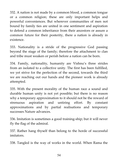332. A nation is not made by a common blood, a common tongue or a common religion; these are only important helps and powerful conveniences. But wherever communities of men not bound by family ties are united in one sentiment and aspiration to defend a common inheritance from their ancestors or assure a common future for their posterity, there a nation is already in existence.

333. Nationality is a stride of the progressive God passing beyond the stage of the family; therefore the attachment to clan and tribe must weaken or perish before a nation can be born.

334. Family, nationality, humanity are Vishnu's three strides from an isolated to a collective unity. The first has been fulfilled, we yet strive for the perfection of the second, towards the third we are reaching out our hands and the pioneer work is already attempted.

335. With the present morality of the human race a sound and durable human unity is not yet possible; but there is no reason why a temporary approximation to it should not be the reward of strenuous aspiration and untiring effort. By constant approximations and by partial realisations and temporary successes Nature advances.

336. Imitation is sometimes a good training-ship; but it will never fly the flag of the admiral.

337. Rather hang thyself than belong to the horde of successful imitators.

338. Tangled is the way of works in the world. When Rama the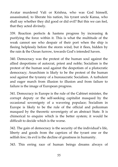Avatar murdered Vali or Krishna, who was God himself, assassinated, to liberate his nation, his tyrant uncle Kansa, who shall say whether they did good or did evil? But this we can feel, that they acted divinely.

339. Reaction perfects & hastens progress by increasing & purifying the force within it. This is what the multitude of the weak cannot see who despair of their port when the ship is fleeing helplessly before the storm wind, but it flees, hidden by the rain & the Ocean furrow, towards God's intended haven.

340. Democracy was the protest of the human soul against the allied despotisms of autocrat, priest and noble; Socialism is the protest of the human soul against the despotism of a plutocratic democracy; Anarchism is likely to be the protest of the human soul against the tyranny of a bureaucratic Socialism. A turbulent and eager march from illusion to illusion and from failure to failure is the image of European progress.

341. Democracy in Europe is the rule of the Cabinet minister, the corrupt deputy or the self-seeking capitalist masqued by the occasional sovereignty of a wavering populace; Socialism in Europe is likely to be the rule of the official and policeman masqued by the theoretic sovereignty of an abstract State. It is chimerical to enquire which is the better system; it would be difficult to decide which is the worse.

342. The gain of democracy is the security of the individual's life, liberty and goods from the caprices of the tyrant one or the selfish few; its evil is the decline of greatness in humanity.

343. This erring race of human beings dreams always of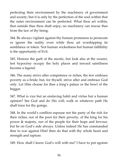perfecting their environment by the machinery of government and society; but it is only by the perfection of the soul within that the outer environment can be perfected. What thou art within, that outside thee thou shalt enjoy; no machinery can rescue thee from the law of thy being.

344. Be always vigilant against thy human proneness to persecute or ignore the reality even while thou art worshipping its semblance or token. Not human wickedness but human fallibility is the opportunity of Evil.

345. Honour the garb of the ascetic, but look also at the wearer, lest hypocrisy occupy the holy places and inward saintliness become a legend.

346. The many strive after competence or riches, the few embrace poverty as a bride; but, for thyself, strive after and embrace God only. Let Him choose for thee a king's palace or the bowl of the beggar.

347. What is vice but an enslaving habit and virtue but a human opinion? See God and do His will; walk in whatever path He shall trace for thy goings.

348. In the world's conflicts espouse not the party of the rich for their riches, nor of the poor for their poverty, of the king for his power & majesty, nor of the people for their hope and fervour, but be on God's side always. Unless indeed He has commanded thee to war against Him! then do that with thy whole heart and strength and rapture.

349. How shall I know God's will with me? I have to put egoism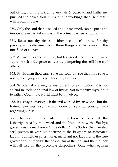out of me, hunting it from every lair & burrow, and bathe my purified and naked soul in His infinite workings; then He himself will reveal it to me.

350. Only the soul that is naked and unashamed, can be pure and innocent, even as Adam was in the primal garden of humanity.

351. Boast not thy riches, neither seek men's praise for thy poverty and self-denial; both these things are the coarse or the fine food of egoism.

352. Altruism is good for man, but less good when it is a form of supreme self-indulgence & lives by pampering the selfishness of others.

353. By altruism thou canst save thy soul, but see that thou save it not by indulging in his perdition thy brother.

354. Self-denial is a mighty instrument for purification; it is not an end in itself nor a final law of living. Not to mortify thyself but to satisfy God in the world must be thy object.

355. It is easy to distinguish the evil worked by sin & vice, but the trained eye sees also the evil done by self-righteous or selfregarding virtue.

356. The Brahmin first ruled by the book & the ritual, the Kshatriya next by the sword and the buckler; now the Vaishya governs us by machinery & the dollar, & the Sudra, the liberated serf, presses in with his doctrine of the kingdom of associated labour. But neither priest, king, merchant nor labourer is the true governor of humanity; the despotism of the tool and the mattock will fail like all the preceding despotisms. Only when egoism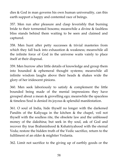dies & God in man governs his own human universality, can this earth support a happy and contented race of beings.

357. Men run after pleasure and clasp feverishly that burning bride to their tormented bosoms; meanwhile a divine & faultless bliss stands behind them waiting to be seen and claimed and captured.

358. Men hunt after petty successes & trivial masteries from which they fall back into exhaustion & weakness; meanwhile all the infinite force of God in the universe waits vainly to place itself at their disposal.

359. Men burrow after little details of knowledge and group them into bounded & ephemeral thought systems; meanwhile all infinite wisdom laughs above their heads & shakes wide the glory of her iridescent pinions.

360. Men seek laboriously to satisfy & complement the little bounded being made of the mental impressions they have grouped about a mean & grovelling ego; meanwhile the spaceless & timeless Soul is denied its joyous & splendid manifestation.

361. O soul of India, hide thyself no longer with the darkened Pandits of the Kaliyuga in the kitchen & the chapel, veil not thyself with the soulless rite, the obsolete law and the unblessed money of the dakshina; but seek in thy soul, ask of God and recover thy true Brahminhood & Kshatriyahood with the eternal Veda; restore the hidden truth of the Vedic sacrifice, return to the fulfilment of an older & mightier Vedanta.

362. Limit not sacrifice to the giving up of earthly goods or the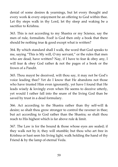denial of some desires & yearnings, but let every thought and every work & every enjoyment be an offering to God within thee. Let thy steps walk in thy Lord, let thy sleep and waking be a sacrifice to Krishna.

363. This is not according to my Shastra or my Science, say the men of rule, formalists. Fool! is God then only a book that there should be nothing true & good except what is written?

364. By which standard shall I walk, the word that God speaks to me, saying "This is My will, O my servant," or the rules that men who are dead, have written? Nay, if I have to fear & obey any, I will fear & obey God rather & not the pages of a book or the frown of a Pandit.

365. Thou mayst be deceived, wilt thou say, it may not be God's voice leading thee? Yet do I know that He abandons not those who have trusted Him even ignorantly, yet have I found that He leads wisely & lovingly even when He seems to deceive utterly, yet would I rather fall into the snare of the living God than be saved by trust in a dead formulary.

366. Act according to the Shastra rather than thy self-will  $\&$ desire; so shalt thou grow stronger to control the ravener in thee; but act according to God rather than the Shastra; so shalt thou reach to His highest which is far above rule & limit.

367. The Law is for the bound & those whose eyes are sealed; if they walk not by it, they will stumble; but thou who art free in Krishna or hast seen his living light, walk holding the hand of thy Friend & by the lamp of eternal Veda.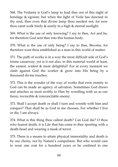368. The Vedanta is God's lamp to lead thee out of this night of bondage & egoism; but when the light of Veda has dawned in thy soul, then even that divine lamp thou needest not, for now thou canst walk freely & surely in a high & eternal sunlight.

369. What is the use of only knowing? I say to thee, Act and be, for therefore God sent thee into this human body.

370. What is the use of only being? I say to thee, Become, for therefore wast thou established as a man in this world of matter.

371. The path of works is in a way the most difficult side of God's triune causeway; yet is it not also, in this material world at least, the easiest, widest & most delightful? For at every moment we clash against God the worker & grow into His being by a thousand divine touches.

372. This is the wonder of the way of works that even enmity to God can be made an agency of salvation. Sometimes God draws and attaches us most swiftly to Him by wrestling with us as our fierce, invincible & irreconcilable enemy.

373. Shall I accept death or shall I turn and wrestle with him and conquer? That shall be as God in me chooses. For whether I live or die, I am always.

374. What is this thing thou callest death? Can God die? O thou who fearest death, it is Life that has come to thee sporting with a death-head and wearing a mask of terror.

375. There is a means to attain physical immortality and death is by our choice, not by Nature's compulsion. But who would care to wear one coat for a hundred years or be confined in one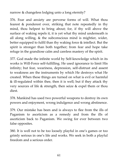narrow & changeless lodging unto a long eternity?

376. Fear and anxiety are perverse forms of will. What thou fearest & ponderest over, striking that note repeatedly in thy mind, thou helpest to bring about; for, if thy will above the surface of waking repels it, it is yet what thy mind underneath is all along willing, & the subconscious mind is mightier, wider, better equipped to fulfil than thy waking force & intellect. But the spirit is stronger than both together; from fear and hope take refuge in the grandiose calm and careless mastery of the spirit.

377. God made the infinite world by Self-knowledge which in its works is Will-Force self-fulfilling. He used ignorance to limit His infinity; but fear, weariness, depression, self-distrust and assent to weakness are the instruments by which He destroys what He created. When these things are turned on what is evil or harmful & ill-regulated within thee, then it is well; but if they attack thy very sources of life & strength, then seize & expel them or thou diest.

378. Mankind has used two powerful weapons to destroy its own powers and enjoyment, wrong indulgence and wrong abstinence.

379. Our mistake has been and is always to flee from the ills of Paganism to asceticism as a remedy and from the ills of asceticism back to Paganism. We swing for ever between two false opposites.

380. It is well not to be too loosely playful in one's games or too grimly serious in one's life and works. We seek in both a playful freedom and a serious order.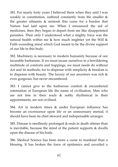381. For nearly forty years I believed them when they said I was weakly in constitution, suffered constantly from the smaller & the greater ailments & mistook this curse for a burden that Nature had laid upon me. When I renounced the aid of medicines, then they began to depart from me like disappointed parasites. Then only I understood what a mighty force was the natural health within me  $&$  how much mightier yet the Will  $&$ Faith exceeding mind which God meant to be the divine support of our life in this body.

382. Machinery is necessary to modern humanity because of our incurable barbarism. If we must incase ourselves in a bewildering multitude of comforts and trappings, we must needs do without Art and its methods; for to dispense with simplicity & freedom is to dispense with beauty. The luxury of our ancestors was rich & even gorgeous, but never encumbered.

383. I cannot give to the barbarous comfort & encumbered ostentation of European life the name of civilisation. Men who are not free in their souls & nobly rhythmical in their appointments, are not civilised.

384. Art in modern times & under European influence has become an excrescence upon life or an unnecessary menial; it should have been its chief steward and indispensable arranger.

385. Disease is needlessly prolonged & ends in death oftener than is inevitable, because the mind of the patient supports & dwells upon the disease of his body.

386. Medical Science has been more a curse to mankind than a blessing. It has broken the force of epidemics and unveiled a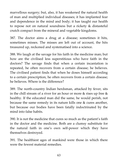marvellous surgery; but, also, it has weakened the natural health of man and multiplied individual diseases; it has implanted fear and dependence in the mind and body; it has taught our health to repose not on natural soundness but a rickety & distasteful crutch compact from the mineral and vegetable kingdoms.

387. The doctor aims a drug at a disease; sometimes it hits, sometimes misses. The misses are left out of account, the hits treasured up, reckoned and systematised into a science.

388. We laugh at the savage for his faith in the medicine man; but how are the civilised less superstitious who have faith in the doctors? The savage finds that when a certain incantation is repeated, he often recovers from a certain disease; he believes. The civilised patient finds that when he doses himself according to a certain prescription, he often recovers from a certain disease; he believes. Where is the difference?

389. The north-country Indian herdsman, attacked by fever, sits in the chill stream of a river for an hour or more & rises up free & healthy. If the educated man did the same, he would perish, not because the same remedy in its nature kills one & cures another, but because our bodies have been fatally indoctrinated by the mind into false habits.

390. It is not the medicine that cures so much as the patient's faith in the doctor and the medicine. Both are a clumsy substitute for the natural faith in one's own self-power which they have themselves destroyed.

391. The healthiest ages of mankind were those in which there were the fewest material remedies.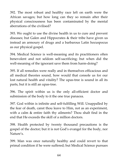392. The most robust and healthy race left on earth were the African savages; but how long can they so remain after their physical consciousness has been contaminated by the mental aberrations of the civilised?

393. We ought to use the divine health in us to cure and prevent diseases; but Galen and Hippocrates & their tribe have given us instead an armoury of drugs and a barbarous Latin hocuspocus as our physical gospel.

394. Medical Science is well-meaning and its practitioners often benevolent and not seldom self-sacrificing; but when did the well-meaning of the ignorant save them from harm-doing?

395. If all remedies were really and in themselves efficacious and all medical theories sound, how would that console us for our lost natural health and vitality? The upas-tree is sound in all its parts, but it is still an upas-tree.

396. The spirit within us is the only all-efficient doctor and submission of the body to it the one true panacea.

397. God within is infinite and self-fulfilling Will. Unappalled by the fear of death, canst thou leave to Him, not as an experiment, with a calm & entire faith thy ailments? Thou shalt find in the end that He exceeds the skill of a million doctors.

398. Health protected by twenty thousand precautions is the gospel of the doctor; but it is not God's evangel for the body, nor Nature's.

399. Man was once naturally healthy and could revert to that primal condition if he were suffered; but Medical Science pursues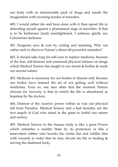our body with an innumerable pack of drugs and assails the imagination with ravening hordes of microbes.

400. I would rather die and have done with it than spend life in defending myself against a phantasmal siege of microbes. If that is to be barbarous [and] unenlightened, I embrace gladly my Cimmerian darkness.

401. Surgeons save & cure by cutting and maiming. Why not rather seek to discover Nature's direct all-powerful remedies?

402. It should take long for self-cure to replace medicine, because of the fear, self-distrust and unnatural physical reliance on drugs which Medical Science has taught to our minds & bodies & made our second nature.

403. Medicine is necessary for our bodies in disease only because our bodies have learned the art of not getting well without medicines. Even so, one sees often that the moment Nature chooses for recovery is that in which the life is abandoned as hopeless by the doctors.

404. Distrust of the curative power within us was our physical fall from Paradise. Medical Science and a bad heredity are the two angels of God who stand at the gates to forbid our return and reentry.

405. Medical Science to the human body is like a great Power which enfeebles a smaller State by its protection or like a benevolent robber who knocks his victim flat and riddles him with wounds in order that he may devote his life to healing  $\&$ serving the shattered body.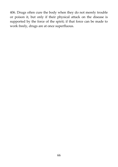406. Drugs often cure the body when they do not merely trouble or poison it, but only if their physical attack on the disease is supported by the force of the spirit; if that force can be made to work freely, drugs are at once superfluous.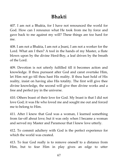## **Bhakti**

407. I am not a Bhakta, for I have not renounced the world for God. How can I renounce what He took from me by force and gave back to me against my will? These things are too hard for me.

408. I am not a Bhakta, I am not a Jnani, I am not a worker for the Lord. What am I then? A tool in the hands of my Master, a flute blown upon by the divine Herd-Boy, a leaf driven by the breath of the Lord.

409. Devotion is not utterly fulfilled till it becomes action and knowledge. If thou pursuest after God and canst overtake Him, let Him not go till thou hast His reality. If thou hast hold of His reality, insist on having also His totality. The first will give thee divine knowledge, the second will give thee divine works and a free and perfect joy in the universe.

410. Others boast of their love for God. My boast is that I did not love God; it was He who loved me and sought me out and forced me to belong to Him.

411. After I knew that God was a woman, I learned something from far-off about love; but it was only when I became a woman and served my Master and Paramour that I knew love utterly.

412. To commit adultery with God is the perfect experience for which the world was created.

413. To fear God really is to remove oneself to a distance from Him, but to fear Him in play gives an edge to utter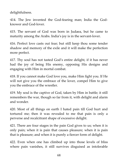delightfulness.

414. The Jew invented the God-fearing man; India the Godknower and God-lover.

415. The servant of God was born in Judaea, but he came to maturity among the Arabs. India's joy is in the servant-lover.

416. Perfect love casts out fear; but still keep thou some tender shadow and memory of the exile and it will make the perfection more perfect.

417. Thy soul has not tasted God's entire delight, if it has never had the joy of being His enemy, opposing His designs and engaging with Him in mortal combat.

418. If you cannot make God love you, make Him fight you. If He will not give you the embrace of the lover, compel Him to give you the embrace of the wrestler.

419. My soul is the captive of God, taken by Him in battle; it still remembers the war, though so far from it, with delight and alarm and wonder.

420. Most of all things on earth I hated pain till God hurt and tortured me; then it was revealed to me that pain is only a perverse and recalcitrant shape of excessive delight.

421. There are four stages in the pain God gives to us; when it is only pain; when it is pain that causes pleasure; when it is pain that is pleasure; and when it is purely a fiercer form of delight.

422. Even when one has climbed up into those levels of bliss where pain vanishes, it still survives disguised as intolerable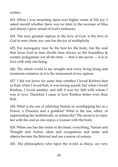ecstasy.

423. When I was mounting upon ever higher crests of His joy, I asked myself whether there was no limit to the increase of bliss and almost I grew afraid of God's embraces.

424. The next greatest rapture to the love of God, is the love of God in men; there, too, one has the joy of multiplicity.

425. For monogamy may be the best for the body, but the soul that loves God in men dwells here always as the boundless & ecstatic polygamist; yet all the time  $-$  that is the secret  $-$  it is in love with only one being.

426. The whole world is my seraglio and every living being and inanimate existence in it is the instrument of my rapture.

427. I did not know for some time whether I loved Krishna best or Kali; when I loved Kali, it was loving myself, but when I loved Krishna, I loved another, and still it was my Self with whom I was in love. Therefore I came to love Krishna better even than Kali.

428. What is the use of admiring Nature or worshipping her as a Power, a Presence and a goddess? What is the use, either, of appreciating her aesthetically or artistically? The secret is to enjoy her with the soul as one enjoys a woman with the body.

429. When one has the vision in the heart, everything, Nature and Thought and Action, ideas and occupations and tastes and objects become the Beloved and are a source of ecstasy.

430. The philosophers who reject the world as Maya, are very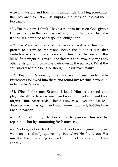wise and austere and holy; but I cannot help thinking sometimes that they are also just a little stupid and allow God to cheat them too easily.

431. For my part, I think I have a right to insist on God giving Himself to me in the world as well as out of it. Why did He make it at all, if He wanted to escape that obligation?

432. The Mayavadin talks of my Personal God as a dream and prefers to dream of Impersonal Being; the Buddhist puts that aside too as a fiction and prefers to dream of Nirvana and the bliss of nothingness. Thus all the dreamers are busy reviling each other's visions and parading their own as the panacea. What the soul utterly rejoices in, is for thought the ultimate reality.

433. Beyond Personality the Mayavadin sees indefinable Existence; I followed him there and found my Krishna beyond in indefinable Personality.

434. When I first met Krishna, I loved Him as a friend and playmate till He deceived me; then I was indignant and could not forgive Him. Afterwards I loved Him as a lover and He still deceived me; I was again and much more indignant, but this time I had to pardon.

435. After offending, He forced me to pardon Him not by reparation, but by committing fresh offences.

436. So long as God tried to repair His offences against me, we went on periodically quarrelling; but when He found out His mistake, the quarrelling stopped, for I had to submit to Him entirely.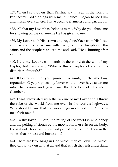437. When I saw others than Krishna and myself in the world, I kept secret God's doings with me; but since I began to see Him and myself everywhere, I have become shameless and garrulous.

438. All that my Lover has, belongs to me. Why do you abuse me for showing off the ornaments He has given to me?

439. My Lover took His crown and royal necklace from His head and neck and clothed me with them; but the disciples of the saints and the prophets abused me and said, "He is hunting after siddhis."

440. I did my Lover's commands in the world & the will of my Captor; but they cried, "Who is this corruptor of youth, this disturber of morals?"

441. If I cared even for your praise, O ye saints, if I cherished my reputation, O ye prophets, my Lover would never have taken me into His bosom and given me the freedom of His secret chambers.

442. I was intoxicated with the rapture of my Lover and I threw the robe of the world from me even in the world's highways. Why should I care that the worldlings mock and the Pharisees turn their faces?

443. To thy lover, O Lord, the railing of the world is wild honey and the pelting of stones by the mob is summer rain on the body. For is it not Thou that railest and peltest, and is it not Thou in the stones that strikest and hurtest me?

444. There are two things in God which men call evil, that which they cannot understand at all and that which they misunderstand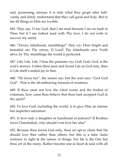and, possessing, misuse; it is only what they grope after halfvainly and dimly understand that they call good and holy. But to me all things in Him are lovable.

445. They say, O my God, that I am mad because I see no fault in Thee; but if I am indeed mad with Thy love, I do not wish to recover my sanity.

446. "Errors, falsehoods, stumblings!" they cry. How bright and beautiful are Thy errors, O Lord! Thy falsehoods save Truth alive; by Thy stumblings the world is perfected.

447. Life, Life, Life, I hear the passions cry; God, God, God, is the soul's answer. Unless thou seest and lovest Life as God only, then is Life itself a sealed joy to thee.

448. "He loves her", the senses say; but the soul says "God God God". That is the all-embracing formula of existence.

449. If thou canst not love the vilest worm and the foulest of criminals, how canst thou believe that thou hast accepted God in thy spirit?

450. To love God, excluding the world, is to give Him an intense but imperfect adoration.

451. Is love only a daughter or handmaid of jealousy? If Krishna loves Chandrabali, why should I not love her also?

452. Because thou lovest God only, thou art apt to claim that He should love thee rather than others; but this is a false claim contrary to right & the nature of things. For He is the One but thou art of the many. Rather become one in heart & soul with all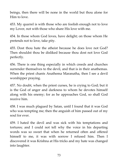beings, then there will be none in the world but thou alone for Him to love.

453. My quarrel is with those who are foolish enough not to love my Lover, not with those who share His love with me.

454. In those whom God loves, have delight; on those whom He pretends not to love, take pity.

455. Dost thou hate the atheist because he does love not God? Then shouldst thou be disliked because thou dost not love God perfectly.

456. There is one thing especially in which creeds and churches surrender themselves to the devil, and that is in their anathemas. When the priest chants Anathema Maranatha, then I see a devil worshipper praying.

457. No doubt, when the priest curses, he is crying to God; but it is the God of anger and darkness to whom he devotes himself along with his enemy; for as he approaches God, so shall God receive him.

458. I was much plagued by Satan, until I found that it was God who was tempting me; then the anguish of him passed out of my soul for ever.

459. I hated the devil and was sick with his temptations and tortures; and I could not tell why the voice in his departing words was so sweet that when he returned often and offered himself to me, it was with sorrow I refused him. Then I discovered it was Krishna at His tricks and my hate was changed into laughter.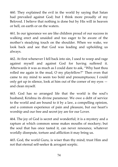460. They explained the evil in the world by saying that Satan had prevailed against God; but I think more proudly of my Beloved. I believe that nothing is done but by His will in heaven or hell, on earth or on the waters.

461. In our ignorance we are like children proud of our success in walking erect and unaided and too eager to be aware of the mother's steadying touch on the shoulder. When we wake, we look back and see that God was leading and upholding us always.

462. At first whenever I fell back into sin, I used to weep and rage against myself and against God for having suffered it. Afterwards it was as much as I could dare to ask, "Why hast thou rolled me again in the mud, O my playfellow?" Then even that came to my mind to seem too bold and presumptuous; I could only get up in silence, look at him out of the corner of my eyes and clean myself.

463. God has so arranged life that the world is the soul's husband; Krishna its divine paramour. We owe a debt of service to the world and are bound to it by a law, a compelling opinion, and a common experience of pain and pleasure, but our heart's worship and our free and secret joy are for our Lover.

464. The joy of God is secret and wonderful; it is a mystery and a rapture at which common sense makes mouths of mockery; but the soul that has once tasted it, can never renounce, whatever worldly disrepute, torture and affliction it may bring us.

465. God, the world Guru, is wiser than thy mind; trust Him and not that eternal self-seeker & arrogant sceptic.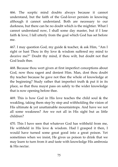466. The sceptic mind doubts always because it cannot understand, but the faith of the God-lover persists in knowing although it cannot understand. Both are necessary to our darkness, but there can be no doubt which is the mightier. What I cannot understand now, I shall some day master, but if I lose faith & love, I fall utterly from the goal which God has set before me.

467. I may question God, my guide & teacher, & ask Him, "Am I right or hast Thou in thy love & wisdom suffered my mind to deceive me?" Doubt thy mind, if thou wilt, but doubt not that God leads thee.

468. Because thou wert given at first imperfect conceptions about God, now thou ragest and deniest Him. Man, dost thou doubt thy teacher because he gave not thee the whole of knowledge at the beginning? Study rather that imperfect truth & put it in its place, so that thou mayst pass on safely to the wider knowledge that is now opening before thee.

469. This is how God in His love teaches the child soul & the weakling, taking them step by step and withholding the vision of His ultimate & yet unattainable mountaintops. And have we not all some weakness? Are we not all in His sight but as little children?

470. This I have seen that whatever God has withheld from me, He withheld in His love & wisdom. Had I grasped it then, I would have turned some great good into a great poison. Yet sometimes when we insist, He gives us poison to drink that we may learn to turn from it and taste with knowledge His ambrosia & His nectar.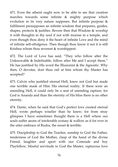471. Even the atheist ought now to be able to see that creation marches towards some infinite & mighty purpose which evolution in its very nature supposes. But infinite purpose  $\&$ fulfilment presupposes an infinite wisdom that prepares, guides, shapes, protects & justifies. Revere then that Wisdom & worship it with thoughts in thy soul if not with incense in a temple, and even though thou deny it the heart of infinite Love and the mind of infinite self-effulgence. Then though thou know it not it is still Krishna whom thou reverest & worshippest.

472. The Lord of Love has said, "They who follow after the Unknowable & Indefinable, follow after Me and I accept them." He has justified by His word the Illusionist & the Agnostic. Why then, O devotee, dost thou rail at him whom thy Master has accepted?

473. Calvin who justified eternal Hell, knew not God but made one terrible mask of Him His eternal reality. If there were an unending Hell, it could only be a seat of unending rapture; for God is Ananda and than the eternity of His bliss there is no other eternity.

474. Dante, when he said that God's perfect love created eternal Hell, wrote perhaps wiselier than he knew; for from stray glimpses I have sometimes thought there is a Hell where our souls suffer aeons of intolerable ecstasy & wallow as if for ever in the utter embrace of Rudra, the sweet & terrible.

475. Discipleship to God the Teacher, sonship to God the Father, tenderness of God the Mother, clasp of the hand of the divine Friend, laughter and sport with our Comrade and boy Playfellow, blissful servitude to God the Master, rapturous love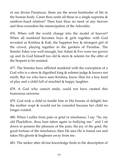of our divine Paramour, these are the seven beatitudes of life in the human body. Canst thou unite all these in a single supreme  $&$ rainbow-hued relation? Then hast thou no need of any heaven and thou exceedest the emancipation of the Adwaitin.

476. When will the world change into the model of heaven? When all mankind becomes boys & girls together with God revealed as Krishna & Kali, the happiest boy & strongest girl of the crowd, playing together in the gardens of Paradise. The Semitic Eden was well enough, but Adam & Eve were too grown up and its God himself too old & stern & solemn for the offer of the Serpent to be resisted.

477. The Semites have afflicted mankind with the conception of a God who is a stern & dignified king & solemn judge & knows not mirth. But we who have seen Krishna, know Him for a boy fond of play and a child full of mischief & happy laughter.

478. A God who cannot smile, could not have created this humorous universe.

479. God took a child to fondle him in His bosom of delight; but the mother wept & would not be consoled because her child no longer existed.

480. When I suffer from pain or grief or mischance, I say "So, my old Playfellow, thou hast taken again to bullying me," and I sit down to possess the pleasure of the pain, the joy of the grief, the good fortune of the mischance; then He sees He is found out and takes His ghosts & bugbears away from me.

481. The seeker after divine knowledge finds in the description of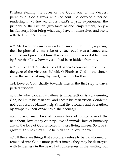Krishna stealing the robes of the Gopis one of the deepest parables of God's ways with the soul, the devotee a perfect rendering in divine act of his heart's mystic experiences, the prurient & the Puritan (two faces of one temperament) only a lustful story. Men bring what they have in themselves and see it reflected in the Scripture.

482. My lover took away my robe of sin and I let it fall, rejoicing; then he plucked at my robe of virtue, but I was ashamed and alarmed and prevented him. It was not till he wrested it from me by force that I saw how my soul had been hidden from me.

483. Sin is a trick & a disguise of Krishna to conceal Himself from the gaze of the virtuous. Behold, O Pharisee, God in the sinner, sin in thy self purifying thy heart; clasp thy brother.

484. Love of God, charity towards men is the first step towards perfect wisdom.

485. He who condemns failure & imperfection, is condemning God; he limits his own soul and cheats his own vision. Condemn not, but observe Nature, help & heal thy brothers and strengthen by sympathy their capacities & their courage.

486. Love of man, love of woman, love of things, love of thy neighbour, love of thy country, love of animals, love of humanity are all the love of God reflected in these living images. So love & grow mighty to enjoy all, to help all and to love for ever.

487. If there are things that absolutely refuse to be transformed or remedied into God's more perfect image, they may be destroyed with tenderness in the heart, but ruthlessness in the smiting. But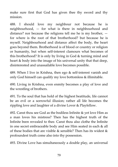make sure first that God has given thee thy sword and thy mission.

488. I should love my neighbour not because he is neighbourhood, — for what is there in neighbourhood and distance? nor because the religions tell me he is my brother, for where is the root of that brotherhood? but because he is myself. Neighbourhood and distance affect the body, the heart goes beyond them. Brotherhood is of blood or country or religion or humanity, but when self-interest clamours what becomes of this brotherhood? It is only by living in God & turning mind and heart & body into the image of his universal unity that that deep, disinterested and unassailable love becomes possible.

489. When I live in Krishna, then ego & self-interest vanish and only God himself can qualify my love bottomless & illimitable.

490. Living in Krishna, even enmity becomes a play of love and the wrestling of brothers.

491. To the soul that has hold of the highest beatitude, life cannot be an evil or a sorrowful illusion; rather all life becomes the rippling love and laughter of a divine Lover & Playfellow.

492. Canst thou see God as the bodiless Infinite & yet love Him as a man loves his mistress? Then has the highest truth of the Infinite been revealed to thee. Canst thou also clothe the Infinite in one secret embraceable body and see Him seated in each & all of these bodies that are visible  $\&$  sensible? Then has its widest  $\&$ profoundest truth come also into thy possession.

493. Divine Love has simultaneously a double play, an universal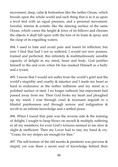movement, deep, calm & bottomless like the nether Ocean, which broods upon the whole world and each thing that is in it as upon a level bed with an equal pressure, and a personal movement, forceful, intense & ecstatic like the dancing surface of the same Ocean, which varies the height & force of its billows and chooses the objects it shall fall upon with the kiss of its foam & spray and the clasp of its engulfing waters.

494. I used to hate and avoid pain and resent its infliction; but now I find that had I not so suffered, I would not now possess, trained and perfected, this infinitely & multitudinously sensible capacity of delight in my mind, heart and body. God justifies himself in the end even when He has masked Himself as a bully and a tyrant.

495. I swore that I would not suffer from the world's grief and the world's stupidity and cruelty & injustice and I made my heart as hard in endurance as the nether millstone and my mind as a polished surface of steel. I no longer suffered, but enjoyment had passed away from me. Then God broke my heart and ploughed up my mind. I rose through cruel & incessant anguish to a blissful painlessness and through sorrow and indignation & revolt to an infinite knowledge and a settled peace.

496. When I found that pain was the reverse side  $&$  the training of delight, I sought to heap blows on myself & multiply suffering in all my members; for even God's tortures seemed to me slow & slight  $\&$  inefficient. Then my Lover had to stay my hand  $\&$  cry, "Cease; for my stripes are enough for thee."

497. The self-torture of the old monks & penitents was perverse & stupid; yet was there a secret soul of knowledge behind their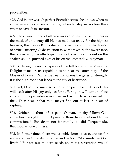perversities.

498. God is our wise & perfect Friend; because he knows when to smite as well as when to fondle, when to slay us no less than when to save & to succour.

499. The divine Friend of all creatures conceals His friendliness in the mask of an enemy till He has made us ready for the highest heavens; then, as in Kurukshetra, the terrible form of the Master of strife, suffering & destruction is withdrawn & the sweet face, the tender arm, the oft-clasped body of Krishna shine out on the shaken soul & purified eyes of his eternal comrade & playmate.

500. Suffering makes us capable of the full force of the Master of Delight; it makes us capable also to bear the utter play of the Master of Power. Pain is the key that opens the gates of strength; it is the high-road that leads to the city of beatitude.

501. Yet, O soul of man, seek not after pain, for that is not His will, seek after His joy only; as for suffering, it will come to thee surely in His providence as often and as much as is needed for thee. Then bear it that thou mayst find out at last its heart of rapture.

502. Neither do thou inflict pain, O man, on thy fellow; God alone has the right to inflict pain; or those have it whom He has commissioned. But deem not fanatically, as did Torquemada, that thou art one of these.

503. In former times there was a noble form of asseveration for souls compact merely of force and action, "As surely as God liveth." But for our modern needs another asseveration would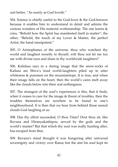suit better, "As surely as God loveth."

504. Science is chiefly useful to the God-lover & the God-knower because it enables him to understand in detail and admire the curious wonders of His material workmanship. The one learns & cries, "Behold how the Spirit has manifested itself in matter"; the other, "Behold, the touch of my Lover & Master, the perfect Artist, the hand omnipotent."

505. O Aristophanes of the universe, thou who watchest thy world and laughest sweetly to thyself, wilt thou not let me too see with divine eyes and share in thy worldwide laughters?

506. Kalidasa says in a daring image that the snow-rocks of Kailasa are Shiva's loud world-laughters piled up in utter whiteness & pureness on the mountaintops. It is true; and when their image falls on the heart, then the world's cares melt away like the clouds below into their real nothingness.

507. The strangest of the soul's experiences is this, that it finds, when it ceases to care for the image & threat of troubles, then the troubles themselves are nowhere to be found in one's neighbourhood. It is then that we hear from behind those unreal clouds God laughing at us.

508. Has thy effort succeeded, O thou Titan? Dost thou sit, like Ravana and Hiranyakashipou, served by the gods and the world's master? But that which thy soul was really hunting after, has escaped from thee.

509. Ravana's mind thought it was hungering after universal sovereignty and victory over Rama; but the aim his soul kept its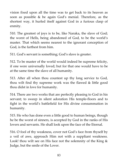vision fixed upon all the time was to get back to its heaven as soon as possible & be again God's menial. Therefore, as the shortest way, it hurled itself against God in a furious clasp of enmity.

510. The greatest of joys is to be, like Naraka, the slave of God; the worst of Hells, being abandoned of God, to be the world's master. That which seems nearest to the ignorant conception of God, is the farthest from him.

511. God's servant is something; God's slave is greater.

512. To be master of the world would indeed be supreme felicity, if one were universally loved; but for that one would have to be at the same time the slave of all humanity.

513. After all when thou countest up thy long service to God, thou wilt find thy supreme work was the flawed & little good thou didst in love for humanity.

514. There are two works that are perfectly pleasing to God in his servant; to sweep in silent adoration His temple-floors and to fight in the world's battlefield for His divine consummation in humanity.

515. He who has done even a little good to human beings, though he be the worst of sinners, is accepted by God in the ranks of His lovers and servants. He shall look upon the face of the Eternal.

516. O fool of thy weakness, cover not God's face from thyself by a veil of awe, approach Him not with a suppliant weakness. Look! thou wilt see on His face not the solemnity of the King & Judge, but the smile of the Lover.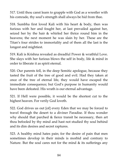517. Until thou canst learn to grapple with God as a wrestler with his comrade, thy soul's strength shall always be hid from thee.

518. Sumbha first loved Kali with his heart & body, then was furious with her and fought her, at last prevailed against her, seized her by the hair & whirled her thrice round him in the heavens; the next moment he was slain by her. These are the Titan's four strides to immortality and of them all the last is the longest and mightiest.

519. Kali is Krishna revealed as dreadful Power & wrathful Love. She slays with her furious blows the self in body, life & mind in order to liberate it as spirit eternal.

520. Our parents fell, in the deep Semitic apologue, because they tasted the fruit of the tree of good and evil. Had they taken at once of the tree of eternal life, they would have escaped the immediate consequence; but God's purpose in humanity would have been defeated. His wrath is our eternal advantage.

521. If Hell were possible, it would be the shortest cut to the highest heaven. For verily God loveth.

522. God drives us out [of] every Eden that we may be forced to travel through the desert to a diviner Paradise. If thou wonder why should that parched  $&$  fierce transit be necessary, then art thou befooled by thy mind and hast not studied thy soul behind and its dim desires and secret raptures.

523. A healthy mind hates pain; for the desire of pain that men sometimes develop in their minds is morbid and contrary to Nature. But the soul cares not for the mind  $\&$  its sufferings any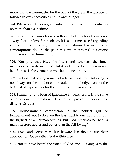more than the iron-master for the pain of the ore in the furnace; it follows its own necessities and its own hunger.

524. Pity is sometimes a good substitute for love; but it is always no more than a substitute.

525. Self-pity is always born of self-love; but pity for others is not always born of love for its object. It is sometimes a self-regarding shrinking from the sight of pain; sometimes the rich man's contemptuous dole to the pauper. Develop rather God's divine compassion than human pity.

526. Not pity that bites the heart and weakens the inner members, but a divine masterful & untroubled compassion and helpfulness is the virtue that we should encourage.

527. To find that saving a man's body or mind from suffering is not always for the good of either soul, mind or body, is one of the bitterest of experiences for the humanly compassionate.

528. Human pity is born of ignorance & weakness; it is the slave of emotional impressions. Divine compassion understands, discerns & saves.

529. Indiscriminate compassion is the noblest gift of temperament, not to do even the least hurt to one living thing is the highest of all human virtues; but God practises neither. Is man therefore nobler and better than the All-loving?

530. Love and serve men, but beware lest thou desire their approbation. Obey rather God within thee.

531. Not to have heard the voice of God and His angels is the

85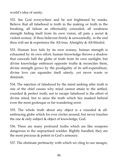world's idea of sanity.

532. See God everywhere and be not frightened by masks. Believe that all falsehood is truth in the making or truth in the breaking, all failure an effectuality concealed, all weakness strength hiding itself from its own vision, all pain a secret & violent ecstasy. If thou believest firmly & unweariedly, in the end thou wilt see & experience the All-true, Almighty & All-blissful.

533. Human love fails by its own ecstasy, human strength is exhausted by its own effort, human knowledge throws a shadow that conceals half the globe of truth from its own sunlight; but divine knowledge embraces opposite truths & reconciles them, divine strength grows by the prodigality of its self-expenditure, divine love can squander itself utterly, yet never waste or diminish.

534. The rejection of falsehood by the mind seeking after truth is one of the chief causes why mind cannot attain to the settled, rounded & perfect truth; not to escape falsehood is the effort of divine mind, but to seize the truth which lies masked behind even the most grotesque or far-wandering error.

535. The whole truth about any object is a rounded & allembracing globe which for ever circles around, but never touches the one & only subject & object of knowledge, God.

536. There are many profound truths which are like weapons dangerous to the unpractised wielder. Rightly handled, they are the most precious & potent in God's armoury.

537. The obstinate pertinacity with which we cling to our meagre,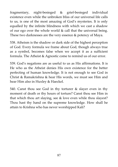fragmentary, night-besieged & grief-besieged individual existence even while the unbroken bliss of our universal life calls to us, is one of the most amazing of God's mysteries. It is only equalled by the infinite blindness with which we cast a shadow of our ego over the whole world & call that the universal being. These two darknesses are the very essence & potency of Maya.

538. Atheism is the shadow or dark side of the highest perception of God. Every formula we frame about God, though always true as a symbol, becomes false when we accept it as a sufficient formula. The Atheist & Agnostic come to remind us of our error.

539. God's negations are as useful to us as His affirmations. It is He who as the Atheist denies His own existence for the better perfecting of human knowledge. It is not enough to see God in Christ & Ramakrishna & hear His words, we must see Him and hear Him also in Huxley & Haeckel.

540. Canst thou see God in thy torturer & slayer even in thy moment of death or thy hours of torture? Canst thou see Him in that which thou art slaying, see & love even while thou slayest? Thou hast thy hand on the supreme knowledge. How shall he attain to Krishna who has never worshipped Kali?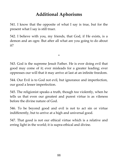### **Additional Aphorisms**

541. I know that the opposite of what I say is true, but for the present what I say is still truer.

542. I believe with you, my friends, that God, if He exists, is a demon and an ogre. But after all what are you going to do about it?

543. God is the supreme Jesuit Father. He is ever doing evil that good may come of it; ever misleads for a greater leading; ever oppresses our will that it may arrive at last at an infinite freedom.

\*

544. Our Evil is to God not evil, but ignorance and imperfection, our good a lesser imperfection.

545. The religionist speaks a truth, though too violently, when he tells us that even our greatest and purest virtue is as vileness before the divine nature of God.

546. To be beyond good and evil is not to act sin or virtue indifferently, but to arrive at a high and universal good.

547. That good is not our ethical virtue which is a relative and erring light in the world; it is supra-ethical and divine.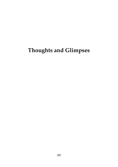# **Thoughts and Glimpses**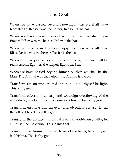#### **The Goal**

When we have passed beyond knowings, then we shall have Knowledge. Reason was the helper; Reason is the bar.

When we have passed beyond willings, then we shall have Power. Effort was the helper; Effort is the bar.

When we have passed beyond enjoyings, then we shall have Bliss. Desire was the helper; Desire is the bar.

When we have passed beyond individualising, then we shall be real Persons. Ego was the helper; Ego is the bar.

When we have passed beyond humanity, then we shall be the Man. The Animal was the helper; the Animal is the bar.

Transform reason into ordered intuition; let all thyself be light. This is thy goal.

Transform effort into an easy and sovereign overflowing of the soul-strength; let all thyself be conscious force. This is thy goal.

Transform enjoying into an even and objectless ecstasy; let all thyself be bliss. This is thy goal.

Transform the divided individual into the world-personality; let all thyself be the divine. This is thy goal.

Transform the Animal into the Driver of the herds; let all thyself be Krishna. This is thy goal.

\* \* \*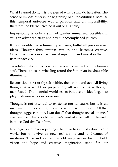What I cannot do now is the sign of what I shall do hereafter. The sense of impossibility is the beginning of all possibilities. Because this temporal universe was a paradox and an impossibility, therefore the Eternal created it out of His being.

Impossibility is only a sum of greater unrealised possibles. It veils an advanced stage and a yet unaccomplished journey.

If thou wouldst have humanity advance, buffet all preconceived ideas. Thought thus smitten awakes and becomes creative. Otherwise it rests in a mechanical repetition and mistakes that for its right activity.

To rotate on its own axis is not the one movement for the human soul. There is also its wheeling round the Sun of an inexhaustible illumination.

Be conscious first of thyself within, then think and act. All living thought is a world in preparation; all real act is a thought manifested. The material world exists because an Idea began to play in divine self-consciousness.

Thought is not essential to existence nor its cause, but it is an instrument for becoming; I become what I see in myself. All that thought suggests to me, I can do; all that thought reveals in me, I can become. This should be man's unshakable faith in himself, because God dwells in him.

Not to go on for ever repeating what man has already done is our work, but to arrive at new realisations and undreamed-of masteries. Time and soul and world are given us for our field, vision and hope and creative imagination stand for our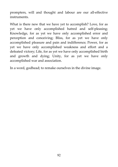prompters, will and thought and labour are our all-effective instruments.

What is there new that we have yet to accomplish? Love, for as yet we have only accomplished hatred and self-pleasing; Knowledge, for as yet we have only accomplished error and perception and conceiving; Bliss, for as yet we have only accomplished pleasure and pain and indifference; Power, for as yet we have only accomplished weakness and effort and a defeated victory; Life, for as yet we have only accomplished birth and growth and dying; Unity, for as yet we have only accomplished war and association.

In a word, godhead; to remake ourselves in the divine image.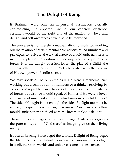## **The Delight of Being**

If Brahman were only an impersonal abstraction eternally contradicting the apparent fact of our concrete existence, cessation would be the right end of the matter; but love and delight and self-awareness have also to be reckoned.

The universe is not merely a mathematical formula for working out the relation of certain mental abstractions called numbers and principles to arrive in the end at a zero or a void unit, neither is it merely a physical operation embodying certain equations of forces. It is the delight of a Self-lover, the play of a Child, the endless self-multiplication of a Poet intoxicated with the rapture of His own power of endless creation.

We may speak of the Supreme as if He were a mathematician working out a cosmic sum in numbers or a thinker resolving by experiment a problem in relations of principles and the balance of forces: but also we should speak of Him as if He were a lover, a musician of universal and particular harmonies, a child, a poet. The side of thought is not enough; the side of delight too must be entirely grasped: Ideas, Forces, Existences, Principles are hollow moulds unless they are filled with the breath of God's delight.

These things are images, but all is an image. Abstractions give us the pure conception of God's truths; images give us their living reality.

If Idea embracing Force begot the worlds, Delight of Being begot the Idea. Because the Infinite conceived an innumerable delight in itself, therefore worlds and universes came into existence.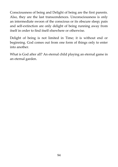Consciousness of being and Delight of being are the first parents. Also, they are the last transcendences. Unconsciousness is only an intermediate swoon of the conscious or its obscure sleep; pain and self-extinction are only delight of being running away from itself in order to find itself elsewhere or otherwise.

Delight of being is not limited in Time; it is without end or beginning. God comes out from one form of things only to enter into another.

What is God after all? An eternal child playing an eternal game in an eternal garden.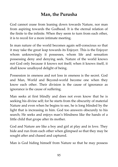#### **Man, the Purusha**

God cannot cease from leaning down towards Nature, nor man from aspiring towards the Godhead. It is the eternal relation of the finite to the infinite. When they seem to turn from each other, it is to recoil for a more intimate meeting.

In man nature of the world becomes again self-conscious so that it may take the great leap towards its Enjoyer. This is the Enjoyer whom unknowingly it possesses, whom life and sensation possessing deny and denying seek. Nature of the world knows not God only because it knows not itself; when it knows itself, it shall know unalloyed delight of being.

Possession in oneness and not loss in oneness is the secret. God and Man, World and Beyond-world become one when they know each other. Their division is the cause of ignorance as ignorance is the cause of suffering.

Man seeks at first blindly and does not even know that he is seeking his divine self; for he starts from the obscurity of material Nature and even when he begins to see, he is long blinded by the light that is increasing in him. God too answers obscurely to his search; He seeks and enjoys man's blindness like the hands of a little child that grope after its mother.

God and Nature are like a boy and girl at play and in love. They hide and run from each other when glimpsed so that they may be sought after and chased and captured.

Man is God hiding himself from Nature so that he may possess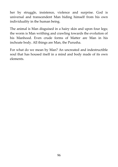her by struggle, insistence, violence and surprise. God is universal and transcendent Man hiding himself from his own individuality in the human being.

The animal is Man disguised in a hairy skin and upon four legs; the worm is Man writhing and crawling towards the evolution of his Manhood. Even crude forms of Matter are Man in his inchoate body. All things are Man, the Purusha.

For what do we mean by Man? An uncreated and indestructible soul that has housed itself in a mind and body made of its own elements.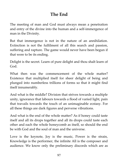## **The End**

The meeting of man and God must always mean a penetration and entry of the divine into the human and a self-immergence of man in the Divinity.

But that immergence is not in the nature of an annihilation. Extinction is not the fulfilment of all this search and passion, suffering and rapture. The game would never have been begun if that were to be its ending.

Delight is the secret. Learn of pure delight and thou shalt learn of God.

What then was the commencement of the whole matter? Existence that multiplied itself for sheer delight of being and plunged into numberless trillions of forms so that it might find itself innumerably.

And what is the middle? Division that strives towards a multiple unity, ignorance that labours towards a flood of varied light, pain that travails towards the touch of an unimaginable ecstasy. For all these things are dark figures and perverse vibrations.

And what is the end of the whole matter? As if honey could taste itself and all its drops together and all its drops could taste each other and each the whole honeycomb as itself, so should the end be with God and the soul of man and the universe.

Love is the keynote, Joy is the music, Power is the strain, Knowledge is the performer, the infinite All is the composer and audience. We know only the preliminary discords which are as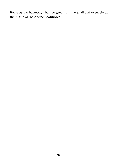fierce as the harmony shall be great; but we shall arrive surely at the fugue of the divine Beatitudes.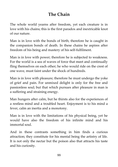## **The Chain**

The whole world yearns after freedom, yet each creature is in love with his chains; this is the first paradox and inextricable knot of our nature.

Man is in love with the bonds of birth; therefore he is caught in the companion bonds of death. In these chains he aspires after freedom of his being and mastery of his self-fulfilment.

Man is in love with power; therefore he is subjected to weakness. For the world is a sea of waves of force that meet and continually fling themselves on each other; he who would ride on the crest of one wave, must faint under the shock of hundreds.

Man is in love with pleasure; therefore he must undergo the yoke of grief and pain. For unmixed delight is only for the free and passionless soul; but that which pursues after pleasure in man is a suffering and straining energy.

Man hungers after calm, but he thirsts also for the experiences of a restless mind and a troubled heart. Enjoyment is to his mind a fever, calm an inertia and a monotony.

Man is in love with the limitations of his physical being, yet he would have also the freedom of his infinite mind and his immortal soul.

And in these contrasts something in him finds a curious attraction; they constitute for his mental being the artistry of life. It is not only the nectar but the poison also that attracts his taste and his curiosity.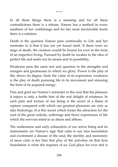In all these things there is a meaning and for all these contradictions there is a release. Nature has a method in every madness of her combinings and for her most inextricable knots there is a solution.

Death is the question Nature puts continually to Life and her reminder to it that it has not yet found itself. If there were no siege of death, the creature would be bound for ever in the form of an imperfect living. Pursued by death he awakes to the idea of perfect life and seeks out its means and its possibility.

Weakness puts the same test and question to the strengths and energies and greatnesses in which we glory. Power is the play of life, shows its degree, finds the value of its expression; weakness is the play of death pursuing life in its movement and stressing the limit of its acquired energy.

Pain and grief are Nature's reminder to the soul that the pleasure it enjoys is only a feeble hint of the real delight of existence. In each pain and torture of our being is the secret of a flame of rapture compared with which our greatest pleasures are only as dim flickerings. It is this secret which forms the attraction for the soul of the great ordeals, sufferings and fierce experiences of life which the nervous mind in us shuns and abhors.

The restlessness and early exhaustion of our active being and its instruments are Nature's sign that calm is our true foundation and excitement a disease of the soul; the sterility and monotony of mere calm is her hint that play of the activities on that firm foundation is what she requires of us. God plays for ever and is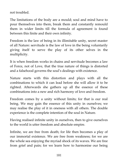not troubled.

The limitations of the body are a mould; soul and mind have to pour themselves into them, break them and constantly remould them in wider limits till the formula of agreement is found between this finite and their own infinity.

Freedom is the law of being in its illimitable unity, secret master of all Nature: servitude is the law of love in the being voluntarily giving itself to serve the play of its other selves in the multiplicity.

It is when freedom works in chains and servitude becomes a law of Force, not of Love, that the true nature of things is distorted and a falsehood governs the soul's dealings with existence.

Nature starts with this distortion and plays with all the combinations to which it can lead before she will allow it to be righted. Afterwards she gathers up all the essence of these combinations into a new and rich harmony of love and freedom.

Freedom comes by a unity without limits; for that is our real being. We may gain the essence of this unity in ourselves; we may realise the play of it in oneness with all others. The double experience is the complete intention of the soul in Nature.

Having realised infinite unity in ourselves, then to give ourselves to the world is utter freedom and absolute empire.

Infinite, we are free from death; for life then becomes a play of our immortal existence. We are free from weakness; for we are the whole sea enjoying the myriad shock of its waves. We are free from grief and pain; for we learn how to harmonise our being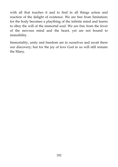with all that touches it and to find in all things action and reaction of the delight of existence. We are free from limitation; for the body becomes a plaything of the infinite mind and learns to obey the will of the immortal soul. We are free from the fever of the nervous mind and the heart, yet are not bound to immobility.

Immortality, unity and freedom are in ourselves and await there our discovery; but for the joy of love God in us will still remain the Many.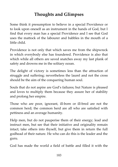## **Thoughts and Glimpses**

Some think it presumption to believe in a special Providence or to look upon oneself as an instrument in the hands of God, but I find that every man has a special Providence and I see that God uses the mattock of the labourer and babbles in the mouth of a little child.

Providence is not only that which saves me from the shipwreck in which everybody else has foundered. Providence is also that which while all others are saved snatches away my last plank of safety and drowns me in the solitary ocean.

The delight of victory is sometimes less than the attraction of struggle and suffering; nevertheless the laurel and not the cross should be the aim of the conquering human soul.

Souls that do not aspire are God's failures; but Nature is pleased and loves to multiply them because they assure her of stability and prolong her empire.

Those who are poor, ignorant, ill-born or ill-bred are not the common herd; the common herd are all who are satisfied with pettiness and an average humanity.

Help men, but do not pauperise them of their energy; lead and instruct men, but see that their initiative and originality remain intact; take others into thyself, but give them in return the full godhead of their nature. He who can do this is the leader and the guru.

God has made the world a field of battle and filled it with the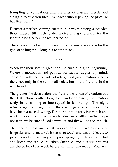trampling of combatants and the cries of a great wrestle and struggle. Would you filch His peace without paying the price He has fixed for it?

Distrust a perfect-seeming success, but when having succeeded thou findest still much to do, rejoice and go forward; for the labour is long before the real perfection.

There is no more benumbing error than to mistake a stage for the goal or to linger too long in a resting-place.

\* \* \*

Wherever thou seest a great end, be sure of a great beginning. Where a monstrous and painful destruction appals thy mind, console it with the certainty of a large and great creation. God is there not only in the still small voice, but in the fire and in the whirlwind.

The greater the destruction, the freer the chances of creation; but the destruction is often long, slow and oppressive, the creation tardy in its coming or interrupted in its triumph. The night returns again and again and the day lingers or seems even to have been a false dawning. Despair not therefore, but watch and work. Those who hope violently, despair swiftly: neither hope nor fear, but be sure of God's purpose and thy will to accomplish.

The hand of the divine Artist works often as if it were unsure of its genius and its material. It seems to touch and test and leave, to pick up and throw away and pick up again, to labour and fail and botch and repiece together. Surprises and disappointments are the order of his work before all things are ready. What was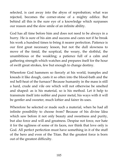selected, is cast away into the abyss of reprobation; what was rejected, becomes the corner-stone of a mighty edifice. But behind all this is the sure eye of a knowledge which surpasses our reason and the slow smile of an infinite ability.

God has all time before him and does not need to be always in a hurry. He is sure of his aim and success and cares not if he break his work a hundred times to bring it nearer perfection. Patience is our first great necessary lesson, but not the dull slowness to move of the timid, the sceptical, the weary, the slothful, the unambitious or the weakling; a patience full of a calm and gathering strength which watches and prepares itself for the hour of swift great strokes, few but enough to change destiny.

Wherefore God hammers so fiercely at his world, tramples and kneads it like dough, casts it so often into the blood-bath and the red hell-heat of the furnace? Because humanity in the mass is still a hard, crude and vile ore which will not otherwise be smelted and shaped: as is his material, so is his method. Let it help to transmute itself into nobler and purer metal, his ways with it will be gentler and sweeter, much loftier and fairer its uses.

Wherefore he selected or made such a material, when he had all infinite possibility to choose from? Because of his divine Idea which saw before it not only beauty and sweetness and purity, but also force and will and greatness. Despise not force, nor hate it for the ugliness of some of its faces, nor think that love only is God. All perfect perfection must have something in it of the stuff of the hero and even of the Titan. But the greatest force is born out of the greatest difficulty.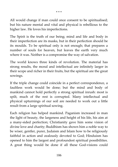All would change if man could once consent to be spiritualised; but his nature mental and vital and physical is rebellious to the higher law. He loves his imperfections.

The Spirit is the truth of our being; mind and life and body in their imperfection are its masks, but in their perfection should be its moulds. To be spiritual only is not enough; that prepares a number of souls for heaven, but leaves the earth very much where it was. Neither is a compromise the way of salvation.

The world knows three kinds of revolution. The material has strong results, the moral and intellectual are infinitely larger in their scope and richer in their fruits, but the spiritual are the great sowings.

If the triple change could coincide in a perfect correspondence, a faultless work would be done; but the mind and body of mankind cannot hold perfectly a strong spiritual inrush: most is spilt, much of the rest is corrupted. Many intellectual and physical upturnings of our soil are needed to work out a little result from a large spiritual sowing.

Each religion has helped mankind. Paganism increased in man the light of beauty, the largeness and height of his life, his aim at a many-sided perfection; Christianity gave him some vision of divine love and charity; Buddhism has shown him a noble way to be wiser, gentler, purer, Judaism and Islam how to be religiously faithful in action and zealously devoted to God; Hinduism has opened to him the largest and profoundest spiritual possibilities. A great thing would be done if all these God-visions could